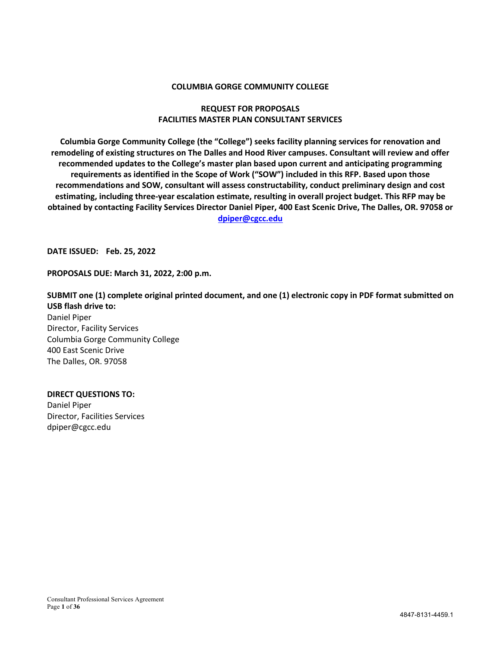#### **COLUMBIA GORGE COMMUNITY COLLEGE**

#### **REQUEST FOR PROPOSALS FACILITIES MASTER PLAN CONSULTANT SERVICES**

**Columbia Gorge Community College (the "College") seeks facility planning services for renovation and remodeling of existing structures on The Dalles and Hood River campuses. Consultant will review and offer recommended updates to the College's master plan based upon current and anticipating programming requirements as identified in the Scope of Work ("SOW") included in this RFP. Based upon those recommendations and SOW, consultant will assess constructability, conduct preliminary design and cost estimating, including three-year escalation estimate, resulting in overall project budget. This RFP may be obtained by contacting Facility Services Director Daniel Piper, 400 East Scenic Drive, The Dalles, OR. 97058 or dpiper@cgcc.edu**

**DATE ISSUED: Feb. 25, 2022**

**PROPOSALS DUE: March 31, 2022, 2:00 p.m.**

**SUBMIT one (1) complete original printed document, and one (1) electronic copy in PDF format submitted on USB flash drive to:**

Daniel Piper Director, Facility Services Columbia Gorge Community College 400 East Scenic Drive The Dalles, OR. 97058

#### **DIRECT QUESTIONS TO:**

Daniel Piper Director, Facilities Services dpiper@cgcc.edu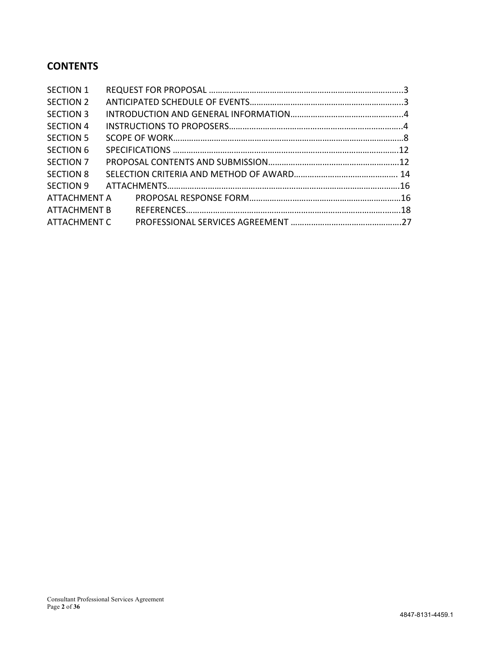# **CONTENTS**

| <b>SECTION 1</b> |  |
|------------------|--|
| SECTION 2        |  |
| <b>SECTION 3</b> |  |
| <b>SECTION 4</b> |  |
| <b>SECTION 5</b> |  |
| <b>SECTION 6</b> |  |
| SECTION 7        |  |
| <b>SECTION 8</b> |  |
| SECTION 9        |  |
| ATTACHMENT A     |  |
| ATTACHMENT B     |  |
| ATTACHMENT C     |  |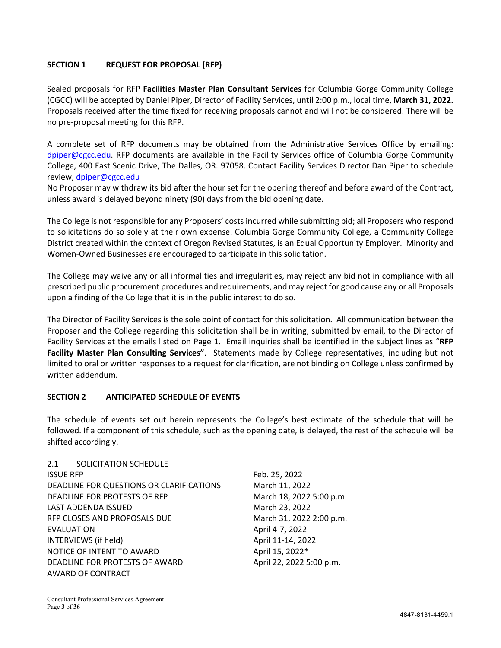# **SECTION 1 REQUEST FOR PROPOSAL (RFP)**

Sealed proposals for RFP **Facilities Master Plan Consultant Services** for Columbia Gorge Community College (CGCC) will be accepted by Daniel Piper, Director of Facility Services, until 2:00 p.m., local time, **March 31, 2022.** Proposals received after the time fixed for receiving proposals cannot and will not be considered. There will be no pre-proposal meeting for this RFP.

A complete set of RFP documents may be obtained from the Administrative Services Office by emailing: dpiper@cgcc.edu. RFP documents are available in the Facility Services office of Columbia Gorge Community College, 400 East Scenic Drive, The Dalles, OR. 97058. Contact Facility Services Director Dan Piper to schedule review, dpiper@cgcc.edu

No Proposer may withdraw its bid after the hour set for the opening thereof and before award of the Contract, unless award is delayed beyond ninety (90) days from the bid opening date.

The College is not responsible for any Proposers' costs incurred while submitting bid; all Proposers who respond to solicitations do so solely at their own expense. Columbia Gorge Community College, a Community College District created within the context of Oregon Revised Statutes, is an Equal Opportunity Employer. Minority and Women-Owned Businesses are encouraged to participate in this solicitation.

The College may waive any or all informalities and irregularities, may reject any bid not in compliance with all prescribed public procurement procedures and requirements, and may reject for good cause any or all Proposals upon a finding of the College that it is in the public interest to do so.

The Director of Facility Services is the sole point of contact for this solicitation. All communication between the Proposer and the College regarding this solicitation shall be in writing, submitted by email, to the Director of Facility Services at the emails listed on Page 1. Email inquiries shall be identified in the subject lines as "**RFP Facility Master Plan Consulting Services"**. Statements made by College representatives, including but not limited to oral or written responses to a request for clarification, are not binding on College unless confirmed by written addendum.

#### **SECTION 2 ANTICIPATED SCHEDULE OF EVENTS**

The schedule of events set out herein represents the College's best estimate of the schedule that will be followed. If a component of this schedule, such as the opening date, is delayed, the rest of the schedule will be shifted accordingly.

2.1 SOLICITATION SCHEDULE ISSUE RFP Feb. 25, 2022 DEADLINE FOR QUESTIONS OR CLARIFICATIONS March 11, 2022 DEADLINE FOR PROTESTS OF RFP March 18, 2022 5:00 p.m. LAST ADDENDA ISSUED March 23, 2022 RFP CLOSES AND PROPOSALS DUE March 31, 2022 2:00 p.m. EVALUATION April 4-7, 2022 INTERVIEWS (if held) April 11-14, 2022 NOTICE OF INTENT TO AWARD April 15, 2022\* DEADLINE FOR PROTESTS OF AWARD April 22, 2022 5:00 p.m. AWARD OF CONTRACT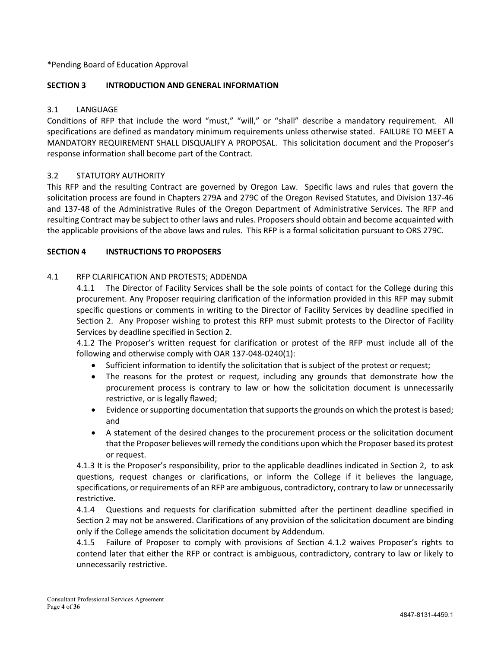\*Pending Board of Education Approval

# **SECTION 3 INTRODUCTION AND GENERAL INFORMATION**

# 3.1 LANGUAGE

Conditions of RFP that include the word "must," "will," or "shall" describe a mandatory requirement. All specifications are defined as mandatory minimum requirements unless otherwise stated. FAILURE TO MEET A MANDATORY REQUIREMENT SHALL DISQUALIFY A PROPOSAL. This solicitation document and the Proposer's response information shall become part of the Contract.

# 3.2 STATUTORY AUTHORITY

This RFP and the resulting Contract are governed by Oregon Law. Specific laws and rules that govern the solicitation process are found in Chapters 279A and 279C of the Oregon Revised Statutes, and Division 137-46 and 137-48 of the Administrative Rules of the Oregon Department of Administrative Services. The RFP and resulting Contract may be subject to other laws and rules. Proposers should obtain and become acquainted with the applicable provisions of the above laws and rules. This RFP is a formal solicitation pursuant to ORS 279C.

# **SECTION 4 INSTRUCTIONS TO PROPOSERS**

#### 4.1 RFP CLARIFICATION AND PROTESTS; ADDENDA

4.1.1 The Director of Facility Services shall be the sole points of contact for the College during this procurement. Any Proposer requiring clarification of the information provided in this RFP may submit specific questions or comments in writing to the Director of Facility Services by deadline specified in Section 2. Any Proposer wishing to protest this RFP must submit protests to the Director of Facility Services by deadline specified in Section 2.

4.1.2 The Proposer's written request for clarification or protest of the RFP must include all of the following and otherwise comply with OAR 137-048-0240(1):

- Sufficient information to identify the solicitation that is subject of the protest or request;
- The reasons for the protest or request, including any grounds that demonstrate how the procurement process is contrary to law or how the solicitation document is unnecessarily restrictive, or is legally flawed;
- Evidence or supporting documentation that supports the grounds on which the protest is based; and
- A statement of the desired changes to the procurement process or the solicitation document that the Proposer believes will remedy the conditions upon which the Proposer based its protest or request.

4.1.3 It is the Proposer's responsibility, prior to the applicable deadlines indicated in Section 2, to ask questions, request changes or clarifications, or inform the College if it believes the language, specifications, or requirements of an RFP are ambiguous, contradictory, contrary to law or unnecessarily restrictive.

4.1.4 Questions and requests for clarification submitted after the pertinent deadline specified in Section 2 may not be answered. Clarifications of any provision of the solicitation document are binding only if the College amends the solicitation document by Addendum.

4.1.5 Failure of Proposer to comply with provisions of Section 4.1.2 waives Proposer's rights to contend later that either the RFP or contract is ambiguous, contradictory, contrary to law or likely to unnecessarily restrictive.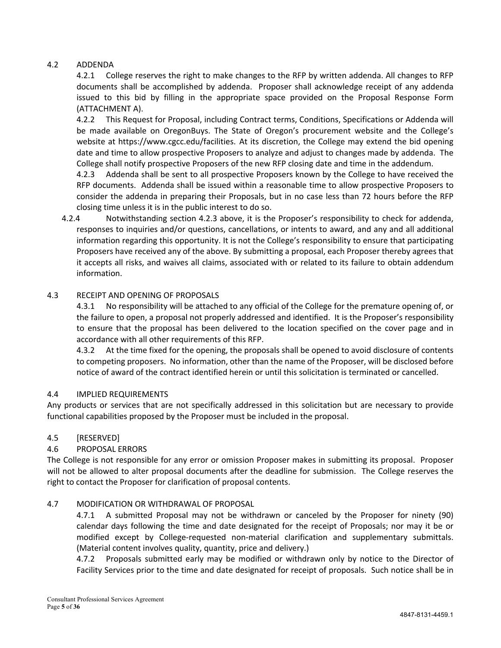#### 4.2 ADDENDA

4.2.1 College reserves the right to make changes to the RFP by written addenda. All changes to RFP documents shall be accomplished by addenda. Proposer shall acknowledge receipt of any addenda issued to this bid by filling in the appropriate space provided on the Proposal Response Form (ATTACHMENT A).

4.2.2 This Request for Proposal, including Contract terms, Conditions, Specifications or Addenda will be made available on OregonBuys. The State of Oregon's procurement website and the College's website at https://www.cgcc.edu/facilities. At its discretion, the College may extend the bid opening date and time to allow prospective Proposers to analyze and adjust to changes made by addenda. The College shall notify prospective Proposers of the new RFP closing date and time in the addendum.

4.2.3 Addenda shall be sent to all prospective Proposers known by the College to have received the RFP documents. Addenda shall be issued within a reasonable time to allow prospective Proposers to consider the addenda in preparing their Proposals, but in no case less than 72 hours before the RFP closing time unless it is in the public interest to do so.

4.2.4 Notwithstanding section 4.2.3 above, it is the Proposer's responsibility to check for addenda, responses to inquiries and/or questions, cancellations, or intents to award, and any and all additional information regarding this opportunity. It is not the College's responsibility to ensure that participating Proposers have received any of the above. By submitting a proposal, each Proposer thereby agrees that it accepts all risks, and waives all claims, associated with or related to its failure to obtain addendum information.

#### 4.3 RECEIPT AND OPENING OF PROPOSALS

4.3.1 No responsibility will be attached to any official of the College for the premature opening of, or the failure to open, a proposal not properly addressed and identified. It is the Proposer's responsibility to ensure that the proposal has been delivered to the location specified on the cover page and in accordance with all other requirements of this RFP.

4.3.2 At the time fixed for the opening, the proposals shall be opened to avoid disclosure of contents to competing proposers. No information, other than the name of the Proposer, will be disclosed before notice of award of the contract identified herein or until this solicitation is terminated or cancelled.

#### 4.4 IMPLIED REQUIREMENTS

Any products or services that are not specifically addressed in this solicitation but are necessary to provide functional capabilities proposed by the Proposer must be included in the proposal.

#### 4.5 [RESERVED]

#### 4.6 PROPOSAL ERRORS

The College is not responsible for any error or omission Proposer makes in submitting its proposal. Proposer will not be allowed to alter proposal documents after the deadline for submission. The College reserves the right to contact the Proposer for clarification of proposal contents.

#### 4.7 MODIFICATION OR WITHDRAWAL OF PROPOSAL

4.7.1 A submitted Proposal may not be withdrawn or canceled by the Proposer for ninety (90) calendar days following the time and date designated for the receipt of Proposals; nor may it be or modified except by College-requested non-material clarification and supplementary submittals. (Material content involves quality, quantity, price and delivery.)

4.7.2 Proposals submitted early may be modified or withdrawn only by notice to the Director of Facility Services prior to the time and date designated for receipt of proposals. Such notice shall be in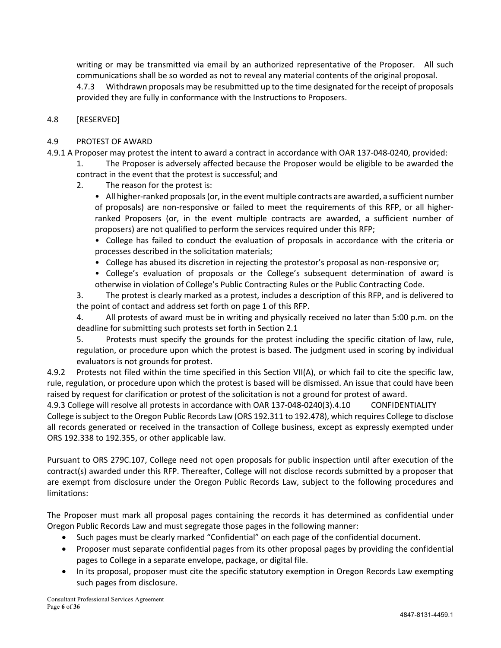writing or may be transmitted via email by an authorized representative of the Proposer. All such communications shall be so worded as not to reveal any material contents of the original proposal.

4.7.3 Withdrawn proposals may be resubmitted up to the time designated for the receipt of proposals provided they are fully in conformance with the Instructions to Proposers.

#### 4.8 [RESERVED]

#### 4.9 PROTEST OF AWARD

- 4.9.1 A Proposer may protest the intent to award a contract in accordance with OAR 137-048-0240, provided:
	- 1. The Proposer is adversely affected because the Proposer would be eligible to be awarded the contract in the event that the protest is successful; and
	- 2. The reason for the protest is:
		- All higher-ranked proposals (or, in the event multiple contracts are awarded, a sufficient number of proposals) are non-responsive or failed to meet the requirements of this RFP, or all higherranked Proposers (or, in the event multiple contracts are awarded, a sufficient number of proposers) are not qualified to perform the services required under this RFP;
		- College has failed to conduct the evaluation of proposals in accordance with the criteria or processes described in the solicitation materials;
		- College has abused its discretion in rejecting the protestor's proposal as non-responsive or;
		- College's evaluation of proposals or the College's subsequent determination of award is otherwise in violation of College's Public Contracting Rules or the Public Contracting Code.

3. The protest is clearly marked as a protest, includes a description of this RFP, and is delivered to the point of contact and address set forth on page 1 of this RFP.

4. All protests of award must be in writing and physically received no later than 5:00 p.m. on the deadline for submitting such protests set forth in Section 2.1

5. Protests must specify the grounds for the protest including the specific citation of law, rule, regulation, or procedure upon which the protest is based. The judgment used in scoring by individual evaluators is not grounds for protest.

4.9.2 Protests not filed within the time specified in this Section VII(A), or which fail to cite the specific law, rule, regulation, or procedure upon which the protest is based will be dismissed. An issue that could have been raised by request for clarification or protest of the solicitation is not a ground for protest of award.

4.9.3 College will resolve all protests in accordance with OAR 137-048-0240(3).4.10 CONFIDENTIALITY College is subject to the Oregon Public Records Law (ORS 192.311 to 192.478), which requires College to disclose all records generated or received in the transaction of College business, except as expressly exempted under ORS 192.338 to 192.355, or other applicable law.

Pursuant to ORS 279C.107, College need not open proposals for public inspection until after execution of the contract(s) awarded under this RFP. Thereafter, College will not disclose records submitted by a proposer that are exempt from disclosure under the Oregon Public Records Law, subject to the following procedures and limitations:

The Proposer must mark all proposal pages containing the records it has determined as confidential under Oregon Public Records Law and must segregate those pages in the following manner:

- Such pages must be clearly marked "Confidential" on each page of the confidential document.
- Proposer must separate confidential pages from its other proposal pages by providing the confidential pages to College in a separate envelope, package, or digital file.
- In its proposal, proposer must cite the specific statutory exemption in Oregon Records Law exempting such pages from disclosure.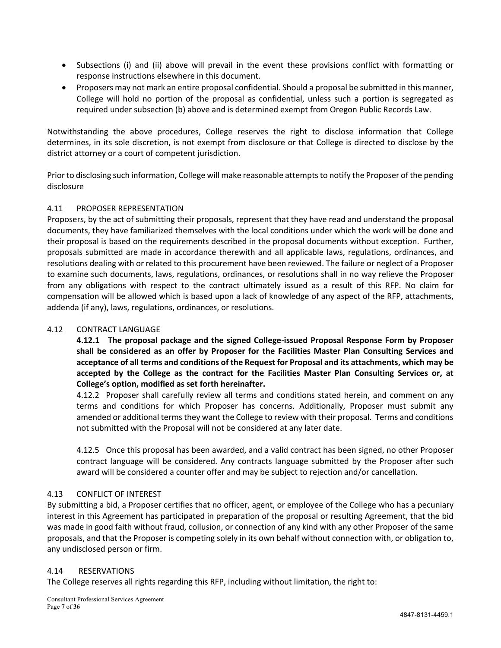- Subsections (i) and (ii) above will prevail in the event these provisions conflict with formatting or response instructions elsewhere in this document.
- Proposers may not mark an entire proposal confidential. Should a proposal be submitted in this manner, College will hold no portion of the proposal as confidential, unless such a portion is segregated as required under subsection (b) above and is determined exempt from Oregon Public Records Law.

Notwithstanding the above procedures, College reserves the right to disclose information that College determines, in its sole discretion, is not exempt from disclosure or that College is directed to disclose by the district attorney or a court of competent jurisdiction.

Prior to disclosing such information, College will make reasonable attempts to notify the Proposer of the pending disclosure

# 4.11 PROPOSER REPRESENTATION

Proposers, by the act of submitting their proposals, represent that they have read and understand the proposal documents, they have familiarized themselves with the local conditions under which the work will be done and their proposal is based on the requirements described in the proposal documents without exception. Further, proposals submitted are made in accordance therewith and all applicable laws, regulations, ordinances, and resolutions dealing with or related to this procurement have been reviewed. The failure or neglect of a Proposer to examine such documents, laws, regulations, ordinances, or resolutions shall in no way relieve the Proposer from any obligations with respect to the contract ultimately issued as a result of this RFP. No claim for compensation will be allowed which is based upon a lack of knowledge of any aspect of the RFP, attachments, addenda (if any), laws, regulations, ordinances, or resolutions.

#### 4.12 CONTRACT LANGUAGE

**4.12.1 The proposal package and the signed College-issued Proposal Response Form by Proposer shall be considered as an offer by Proposer for the Facilities Master Plan Consulting Services and acceptance of all terms and conditions of the Request for Proposal and its attachments, which may be accepted by the College as the contract for the Facilities Master Plan Consulting Services or, at College's option, modified as set forth hereinafter.**

4.12.2 Proposer shall carefully review all terms and conditions stated herein, and comment on any terms and conditions for which Proposer has concerns. Additionally, Proposer must submit any amended or additional terms they want the College to review with their proposal. Terms and conditions not submitted with the Proposal will not be considered at any later date.

4.12.5 Once this proposal has been awarded, and a valid contract has been signed, no other Proposer contract language will be considered. Any contracts language submitted by the Proposer after such award will be considered a counter offer and may be subject to rejection and/or cancellation.

# 4.13 CONFLICT OF INTEREST

By submitting a bid, a Proposer certifies that no officer, agent, or employee of the College who has a pecuniary interest in this Agreement has participated in preparation of the proposal or resulting Agreement, that the bid was made in good faith without fraud, collusion, or connection of any kind with any other Proposer of the same proposals, and that the Proposer is competing solely in its own behalf without connection with, or obligation to, any undisclosed person or firm.

#### 4.14 RESERVATIONS

The College reserves all rights regarding this RFP, including without limitation, the right to: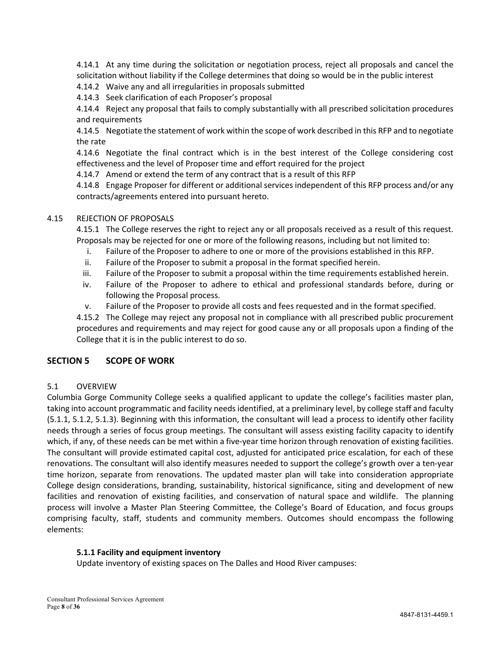4.14.1 At any time during the solicitation or negotiation process, reject all proposals and cancel the solicitation without liability if the College determines that doing so would be in the public interest

4.14.2 Waive any and all irregularities in proposals submitted

4.14.3 Seek clarification of each Proposer's proposal

4.14.4 Reject any proposal that fails to comply substantially with all prescribed solicitation procedures and requirements

4.14.5 Negotiate the statement of work within the scope of work described in this RFP and to negotiate the rate

4.14.6 Negotiate the final contract which is in the best interest of the College considering cost effectiveness and the level of Proposer time and effort required for the project

4.14.7 Amend or extend the term of any contract that is a result of this RFP

4.14.8 Engage Proposer for different or additional services independent of this RFP process and/or any contracts/agreements entered into pursuant hereto.

#### 4.15 REJECTION OF PROPOSALS

4.15.1 The College reserves the right to reject any or all proposals received as a result of this request. Proposals may be rejected for one or more of the following reasons, including but not limited to:

- i. Failure of the Proposer to adhere to one or more of the provisions established in this RFP.
- ii. Failure of the Proposer to submit a proposal in the format specified herein.
- iii. Failure of the Proposer to submit a proposal within the time requirements established herein.
- iv. Failure of the Proposer to adhere to ethical and professional standards before, during or following the Proposal process.
- v. Failure of the Proposer to provide all costs and fees requested and in the format specified.

4.15.2 The College may reject any proposal not in compliance with all prescribed public procurement procedures and requirements and may reject for good cause any or all proposals upon a finding of the College that it is in the public interest to do so.

#### **SECTION 5 SCOPE OF WORK**

#### 5.1 OVERVIEW

Columbia Gorge Community College seeks a qualified applicant to update the college's facilities master plan, taking into account programmatic and facility needs identified, at a preliminary level, by college staff and faculty (5.1.1, 5.1.2, 5.1.3). Beginning with this information, the consultant will lead a process to identify other facility needs through a series of focus group meetings. The consultant will assess existing facility capacity to identify which, if any, of these needs can be met within a five-year time horizon through renovation of existing facilities. The consultant will provide estimated capital cost, adjusted for anticipated price escalation, for each of these renovations. The consultant will also identify measures needed to support the college's growth over a ten-year time horizon, separate from renovations. The updated master plan will take into consideration appropriate College design considerations, branding, sustainability, historical significance, siting and development of new facilities and renovation of existing facilities, and conservation of natural space and wildlife. The planning process will involve a Master Plan Steering Committee, the College's Board of Education, and focus groups comprising faculty, staff, students and community members. Outcomes should encompass the following elements:

#### **5.1.1 Facility and equipment inventory**

Update inventory of existing spaces on The Dalles and Hood River campuses: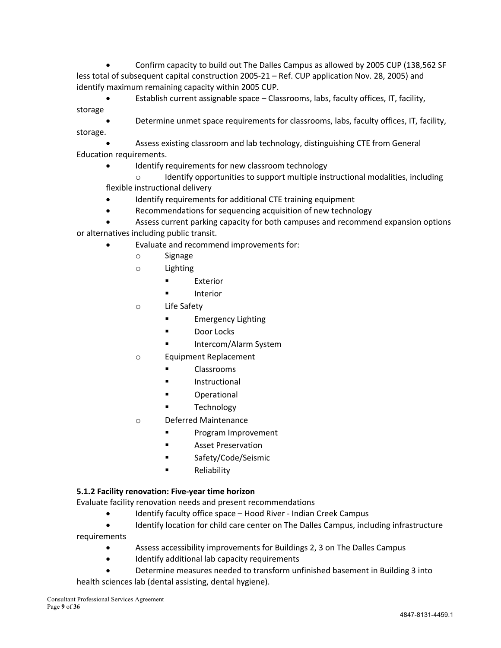• Confirm capacity to build out The Dalles Campus as allowed by 2005 CUP (138,562 SF less total of subsequent capital construction 2005-21 – Ref. CUP application Nov. 28, 2005) and identify maximum remaining capacity within 2005 CUP.

• Establish current assignable space – Classrooms, labs, faculty offices, IT, facility, storage

• Determine unmet space requirements for classrooms, labs, faculty offices, IT, facility, storage.

• Assess existing classroom and lab technology, distinguishing CTE from General Education requirements.

Identify requirements for new classroom technology

 $\circ$  Identify opportunities to support multiple instructional modalities, including flexible instructional delivery

- Identify requirements for additional CTE training equipment
- Recommendations for sequencing acquisition of new technology

• Assess current parking capacity for both campuses and recommend expansion options or alternatives including public transit.

- Evaluate and recommend improvements for:
	- o Signage
	- o Lighting
		- **Exterior**
		- Interior
	- o Life Safety
		- Emergency Lighting
		- § Door Locks
		- § Intercom/Alarm System
	- o Equipment Replacement
		- § Classrooms
		- **Instructional**
		- § Operational
		- **Technology**
	- o Deferred Maintenance
		- § Program Improvement
		- Asset Preservation
		- Safety/Code/Seismic
		- Reliability

#### **5.1.2 Facility renovation: Five-year time horizon**

Evaluate facility renovation needs and present recommendations

- Identify faculty office space Hood River Indian Creek Campus
- Identify location for child care center on The Dalles Campus, including infrastructure requirements
	- Assess accessibility improvements for Buildings 2, 3 on The Dalles Campus
	- Identify additional lab capacity requirements
	- Determine measures needed to transform unfinished basement in Building 3 into

health sciences lab (dental assisting, dental hygiene).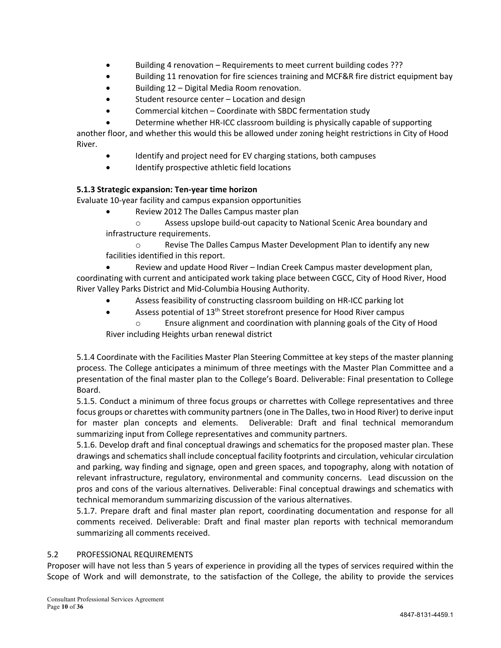- Building 4 renovation Requirements to meet current building codes ???
- Building 11 renovation for fire sciences training and MCF&R fire district equipment bay
- Building 12 Digital Media Room renovation.
- Student resource center Location and design
- Commercial kitchen Coordinate with SBDC fermentation study
	- Determine whether HR-ICC classroom building is physically capable of supporting

another floor, and whether this would this be allowed under zoning height restrictions in City of Hood River.

- Identify and project need for EV charging stations, both campuses
- Identify prospective athletic field locations

#### **5.1.3 Strategic expansion: Ten-year time horizon**

Evaluate 10-year facility and campus expansion opportunities

• Review 2012 The Dalles Campus master plan

o Assess upslope build-out capacity to National Scenic Area boundary and infrastructure requirements.

o Revise The Dalles Campus Master Development Plan to identify any new facilities identified in this report.

• Review and update Hood River – Indian Creek Campus master development plan, coordinating with current and anticipated work taking place between CGCC, City of Hood River, Hood River Valley Parks District and Mid-Columbia Housing Authority.

- Assess feasibility of constructing classroom building on HR-ICC parking lot
- Assess potential of  $13<sup>th</sup>$  Street storefront presence for Hood River campus o Ensure alignment and coordination with planning goals of the City of Hood

River including Heights urban renewal district

5.1.4 Coordinate with the Facilities Master Plan Steering Committee at key steps of the master planning process. The College anticipates a minimum of three meetings with the Master Plan Committee and a presentation of the final master plan to the College's Board. Deliverable: Final presentation to College Board.

5.1.5. Conduct a minimum of three focus groups or charrettes with College representatives and three focus groups or charettes with community partners (one in The Dalles, two in Hood River) to derive input for master plan concepts and elements. Deliverable: Draft and final technical memorandum summarizing input from College representatives and community partners.

5.1.6. Develop draft and final conceptual drawings and schematics for the proposed master plan. These drawings and schematics shall include conceptual facility footprints and circulation, vehicular circulation and parking, way finding and signage, open and green spaces, and topography, along with notation of relevant infrastructure, regulatory, environmental and community concerns. Lead discussion on the pros and cons of the various alternatives. Deliverable: Final conceptual drawings and schematics with technical memorandum summarizing discussion of the various alternatives.

5.1.7. Prepare draft and final master plan report, coordinating documentation and response for all comments received. Deliverable: Draft and final master plan reports with technical memorandum summarizing all comments received.

#### 5.2 PROFESSIONAL REQUIREMENTS

Proposer will have not less than 5 years of experience in providing all the types of services required within the Scope of Work and will demonstrate, to the satisfaction of the College, the ability to provide the services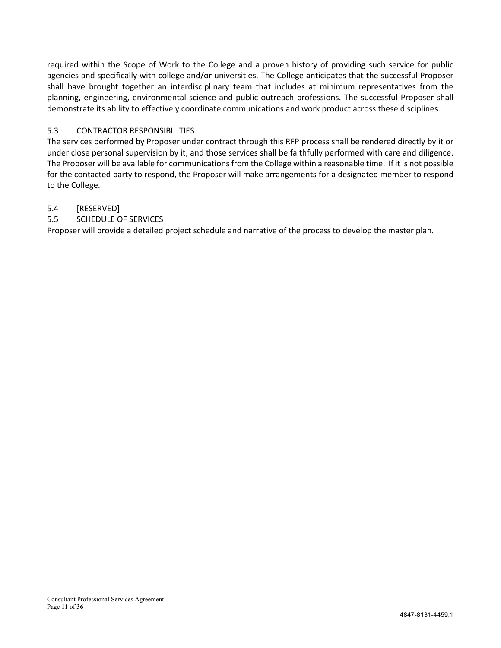required within the Scope of Work to the College and a proven history of providing such service for public agencies and specifically with college and/or universities. The College anticipates that the successful Proposer shall have brought together an interdisciplinary team that includes at minimum representatives from the planning, engineering, environmental science and public outreach professions. The successful Proposer shall demonstrate its ability to effectively coordinate communications and work product across these disciplines.

# 5.3 CONTRACTOR RESPONSIBILITIES

The services performed by Proposer under contract through this RFP process shall be rendered directly by it or under close personal supervision by it, and those services shall be faithfully performed with care and diligence. The Proposer will be available for communications from the College within a reasonable time. If it is not possible for the contacted party to respond, the Proposer will make arrangements for a designated member to respond to the College.

#### 5.4 [RESERVED]

5.5 SCHEDULE OF SERVICES

Proposer will provide a detailed project schedule and narrative of the process to develop the master plan.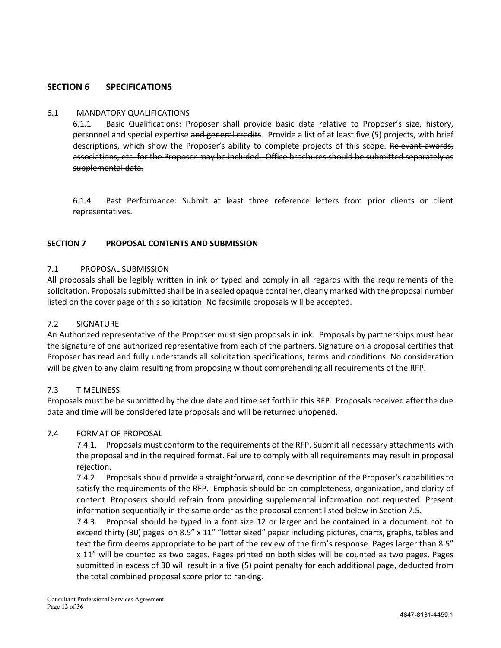# **SECTION 6 SPECIFICATIONS**

#### 6.1 MANDATORY QUALIFICATIONS

6.1.1 Basic Qualifications: Proposer shall provide basic data relative to Proposer's size, history, personnel and special expertise and general credits. Provide a list of at least five (5) projects, with brief descriptions, which show the Proposer's ability to complete projects of this scope. Relevant awards, associations, etc. for the Proposer may be included. Office brochures should be submitted separately as supplemental data.

6.1.4 Past Performance: Submit at least three reference letters from prior clients or client representatives.

#### **SECTION 7 PROPOSAL CONTENTS AND SUBMISSION**

#### 7.1 PROPOSAL SUBMISSION

All proposals shall be legibly written in ink or typed and comply in all regards with the requirements of the solicitation. Proposals submitted shall be in a sealed opaque container, clearly marked with the proposal number listed on the cover page of this solicitation. No facsimile proposals will be accepted.

#### 7.2 SIGNATURE

An Authorized representative of the Proposer must sign proposals in ink. Proposals by partnerships must bear the signature of one authorized representative from each of the partners. Signature on a proposal certifies that Proposer has read and fully understands all solicitation specifications, terms and conditions. No consideration will be given to any claim resulting from proposing without comprehending all requirements of the RFP.

#### 7.3 TIMELINESS

Proposals must be be submitted by the due date and time set forth in this RFP. Proposals received after the due date and time will be considered late proposals and will be returned unopened.

#### 7.4 FORMAT OF PROPOSAL

7.4.1. Proposals must conform to the requirements of the RFP. Submit all necessary attachments with the proposal and in the required format. Failure to comply with all requirements may result in proposal rejection.

7.4.2 Proposals should provide a straightforward, concise description of the Proposer's capabilities to satisfy the requirements of the RFP. Emphasis should be on completeness, organization, and clarity of content. Proposers should refrain from providing supplemental information not requested. Present information sequentially in the same order as the proposal content listed below in Section 7.5.

7.4.3. Proposal should be typed in a font size 12 or larger and be contained in a document not to exceed thirty (30) pages on 8.5" x 11" "letter sized" paper including pictures, charts, graphs, tables and text the firm deems appropriate to be part of the review of the firm's response. Pages larger than 8.5" x 11" will be counted as two pages. Pages printed on both sides will be counted as two pages. Pages submitted in excess of 30 will result in a five (5) point penalty for each additional page, deducted from the total combined proposal score prior to ranking.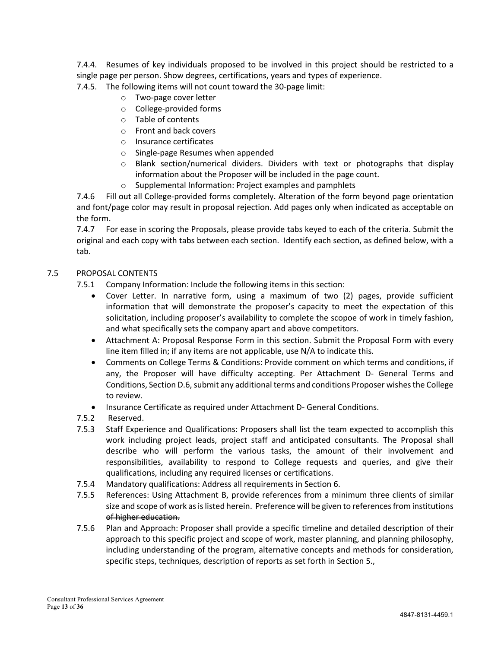7.4.4. Resumes of key individuals proposed to be involved in this project should be restricted to a single page per person. Show degrees, certifications, years and types of experience.

- 7.4.5. The following items will not count toward the 30-page limit:
	- o Two-page cover letter
	- o College-provided forms
	- o Table of contents
	- o Front and back covers
	- o Insurance certificates
	- o Single-page Resumes when appended
	- $\circ$  Blank section/numerical dividers. Dividers with text or photographs that display information about the Proposer will be included in the page count.
	- o Supplemental Information: Project examples and pamphlets

7.4.6 Fill out all College-provided forms completely. Alteration of the form beyond page orientation and font/page color may result in proposal rejection. Add pages only when indicated as acceptable on the form.

7.4.7 For ease in scoring the Proposals, please provide tabs keyed to each of the criteria. Submit the original and each copy with tabs between each section. Identify each section, as defined below, with a tab.

#### 7.5 PROPOSAL CONTENTS

7.5.1 Company Information: Include the following items in this section:

- Cover Letter. In narrative form, using a maximum of two (2) pages, provide sufficient information that will demonstrate the proposer's capacity to meet the expectation of this solicitation, including proposer's availability to complete the scopoe of work in timely fashion, and what specifically sets the company apart and above competitors.
- Attachment A: Proposal Response Form in this section. Submit the Proposal Form with every line item filled in; if any items are not applicable, use N/A to indicate this.
- Comments on College Terms & Conditions: Provide comment on which terms and conditions, if any, the Proposer will have difficulty accepting. Per Attachment D- General Terms and Conditions, Section D.6, submit any additional terms and conditions Proposer wishes the College to review.
- Insurance Certificate as required under Attachment D- General Conditions.
- 7.5.2 Reserved.
- 7.5.3 Staff Experience and Qualifications: Proposers shall list the team expected to accomplish this work including project leads, project staff and anticipated consultants. The Proposal shall describe who will perform the various tasks, the amount of their involvement and responsibilities, availability to respond to College requests and queries, and give their qualifications, including any required licenses or certifications.
- 7.5.4 Mandatory qualifications: Address all requirements in Section 6.
- 7.5.5 References: Using Attachment B, provide references from a minimum three clients of similar size and scope of work as is listed herein. Preference will be given to references from institutions of higher education.
- 7.5.6 Plan and Approach: Proposer shall provide a specific timeline and detailed description of their approach to this specific project and scope of work, master planning, and planning philosophy, including understanding of the program, alternative concepts and methods for consideration, specific steps, techniques, description of reports as set forth in Section 5.,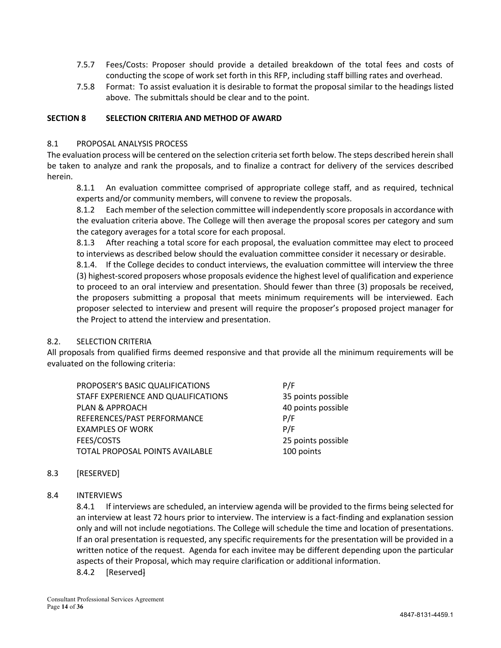- 7.5.7 Fees/Costs: Proposer should provide a detailed breakdown of the total fees and costs of conducting the scope of work set forth in this RFP, including staff billing rates and overhead.
- 7.5.8 Format: To assist evaluation it is desirable to format the proposal similar to the headings listed above. The submittals should be clear and to the point.

#### **SECTION 8 SELECTION CRITERIA AND METHOD OF AWARD**

#### 8.1 PROPOSAL ANALYSIS PROCESS

The evaluation process will be centered on the selection criteria set forth below. The steps described herein shall be taken to analyze and rank the proposals, and to finalize a contract for delivery of the services described herein.

8.1.1 An evaluation committee comprised of appropriate college staff, and as required, technical experts and/or community members, will convene to review the proposals.

8.1.2 Each member of the selection committee will independently score proposals in accordance with the evaluation criteria above. The College will then average the proposal scores per category and sum the category averages for a total score for each proposal.

8.1.3 After reaching a total score for each proposal, the evaluation committee may elect to proceed to interviews as described below should the evaluation committee consider it necessary or desirable.

8.1.4. If the College decides to conduct interviews, the evaluation committee will interview the three (3) highest-scored proposers whose proposals evidence the highest level of qualification and experience to proceed to an oral interview and presentation. Should fewer than three (3) proposals be received, the proposers submitting a proposal that meets minimum requirements will be interviewed. Each proposer selected to interview and present will require the proposer's proposed project manager for the Project to attend the interview and presentation.

#### 8.2. SELECTION CRITERIA

All proposals from qualified firms deemed responsive and that provide all the minimum requirements will be evaluated on the following criteria:

| PROPOSER'S BASIC QUALIFICATIONS     | P/F                |
|-------------------------------------|--------------------|
| STAFF EXPERIENCE AND QUALIFICATIONS | 35 points possible |
| PLAN & APPROACH                     | 40 points possible |
| REFERENCES/PAST PERFORMANCE         | P/F                |
| <b>EXAMPLES OF WORK</b>             | P/F                |
| <b>FEES/COSTS</b>                   | 25 points possible |
| TOTAL PROPOSAL POINTS AVAILABLE     | 100 points         |

#### 8.3 [RESERVED]

8.4 INTERVIEWS

8.4.1 If interviews are scheduled, an interview agenda will be provided to the firms being selected for an interview at least 72 hours prior to interview. The interview is a fact-finding and explanation session only and will not include negotiations. The College will schedule the time and location of presentations. If an oral presentation is requested, any specific requirements for the presentation will be provided in a written notice of the request. Agenda for each invitee may be different depending upon the particular aspects of their Proposal, which may require clarification or additional information.

8.4.2 [Reserved]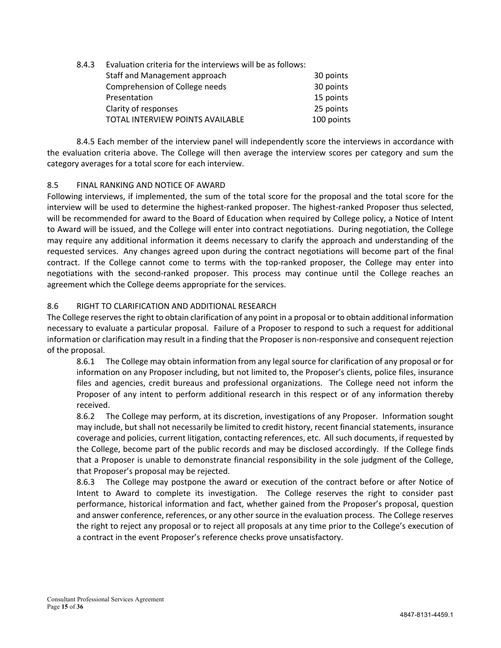| 8.4.3 | Evaluation criteria for the interviews will be as follows: |            |  |
|-------|------------------------------------------------------------|------------|--|
|       | Staff and Management approach                              | 30 points  |  |
|       | Comprehension of College needs                             | 30 points  |  |
|       | Presentation                                               | 15 points  |  |
|       | Clarity of responses                                       | 25 points  |  |
|       | TOTAL INTERVIEW POINTS AVAILABLE                           | 100 points |  |

8.4.5 Each member of the interview panel will independently score the interviews in accordance with the evaluation criteria above. The College will then average the interview scores per category and sum the category averages for a total score for each interview.

# 8.5 FINAL RANKING AND NOTICE OF AWARD

Following interviews, if implemented, the sum of the total score for the proposal and the total score for the interview will be used to determine the highest-ranked proposer. The highest-ranked Proposer thus selected, will be recommended for award to the Board of Education when required by College policy, a Notice of Intent to Award will be issued, and the College will enter into contract negotiations. During negotiation, the College may require any additional information it deems necessary to clarify the approach and understanding of the requested services. Any changes agreed upon during the contract negotiations will become part of the final contract. If the College cannot come to terms with the top-ranked proposer, the College may enter into negotiations with the second-ranked proposer. This process may continue until the College reaches an agreement which the College deems appropriate for the services.

# 8.6 RIGHT TO CLARIFICATION AND ADDITIONAL RESEARCH

The College reserves the right to obtain clarification of any point in a proposal or to obtain additional information necessary to evaluate a particular proposal. Failure of a Proposer to respond to such a request for additional information or clarification may result in a finding that the Proposer is non-responsive and consequent rejection of the proposal.

8.6.1 The College may obtain information from any legal source for clarification of any proposal or for information on any Proposer including, but not limited to, the Proposer's clients, police files, insurance files and agencies, credit bureaus and professional organizations. The College need not inform the Proposer of any intent to perform additional research in this respect or of any information thereby received.

8.6.2 The College may perform, at its discretion, investigations of any Proposer. Information sought may include, but shall not necessarily be limited to credit history, recent financial statements, insurance coverage and policies, current litigation, contacting references, etc. All such documents, if requested by the College, become part of the public records and may be disclosed accordingly. If the College finds that a Proposer is unable to demonstrate financial responsibility in the sole judgment of the College, that Proposer's proposal may be rejected.

8.6.3 The College may postpone the award or execution of the contract before or after Notice of Intent to Award to complete its investigation. The College reserves the right to consider past performance, historical information and fact, whether gained from the Proposer's proposal, question and answer conference, references, or any other source in the evaluation process. The College reserves the right to reject any proposal or to reject all proposals at any time prior to the College's execution of a contract in the event Proposer's reference checks prove unsatisfactory.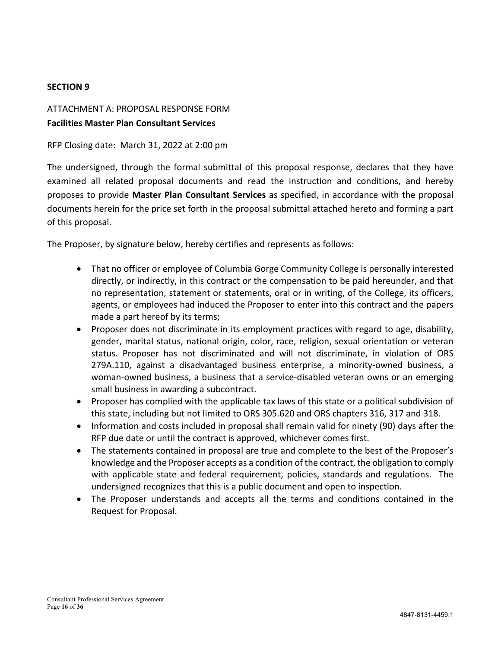# **SECTION 9**

# ATTACHMENT A: PROPOSAL RESPONSE FORM **Facilities Master Plan Consultant Services**

RFP Closing date: March 31, 2022 at 2:00 pm

The undersigned, through the formal submittal of this proposal response, declares that they have examined all related proposal documents and read the instruction and conditions, and hereby proposes to provide **Master Plan Consultant Services** as specified, in accordance with the proposal documents herein for the price set forth in the proposal submittal attached hereto and forming a part of this proposal.

The Proposer, by signature below, hereby certifies and represents as follows:

- That no officer or employee of Columbia Gorge Community College is personally interested directly, or indirectly, in this contract or the compensation to be paid hereunder, and that no representation, statement or statements, oral or in writing, of the College, its officers, agents, or employees had induced the Proposer to enter into this contract and the papers made a part hereof by its terms;
- Proposer does not discriminate in its employment practices with regard to age, disability, gender, marital status, national origin, color, race, religion, sexual orientation or veteran status. Proposer has not discriminated and will not discriminate, in violation of ORS 279A.110, against a disadvantaged business enterprise, a minority-owned business, a woman-owned business, a business that a service-disabled veteran owns or an emerging small business in awarding a subcontract.
- Proposer has complied with the applicable tax laws of this state or a political subdivision of this state, including but not limited to ORS 305.620 and ORS chapters 316, 317 and 318.
- Information and costs included in proposal shall remain valid for ninety (90) days after the RFP due date or until the contract is approved, whichever comes first.
- The statements contained in proposal are true and complete to the best of the Proposer's knowledge and the Proposer accepts as a condition of the contract, the obligation to comply with applicable state and federal requirement, policies, standards and regulations. The undersigned recognizes that this is a public document and open to inspection.
- The Proposer understands and accepts all the terms and conditions contained in the Request for Proposal.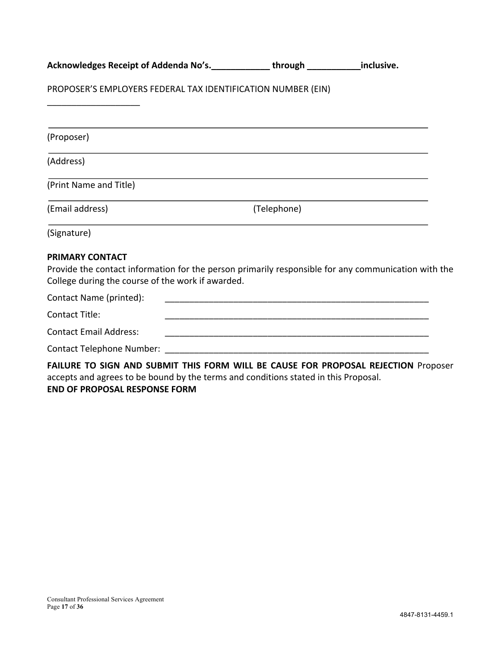| Acknowledges Receipt of Addenda No's.<br><u> Letter Letter Letter Letter Letter Letter Letter Letter Letter Addends</u>                                                            |             |  |
|------------------------------------------------------------------------------------------------------------------------------------------------------------------------------------|-------------|--|
| PROPOSER'S EMPLOYERS FEDERAL TAX IDENTIFICATION NUMBER (EIN)                                                                                                                       |             |  |
|                                                                                                                                                                                    |             |  |
| (Proposer)                                                                                                                                                                         |             |  |
| (Address)                                                                                                                                                                          |             |  |
| (Print Name and Title)                                                                                                                                                             |             |  |
| (Email address)                                                                                                                                                                    | (Telephone) |  |
| (Signature)                                                                                                                                                                        |             |  |
| <b>PRIMARY CONTACT</b><br>Provide the contact information for the person primarily responsible for any communication with the<br>College during the course of the work if awarded. |             |  |
| Contact Name (printed):                                                                                                                                                            |             |  |
| <b>Contact Title:</b>                                                                                                                                                              |             |  |
| <b>Contact Email Address:</b>                                                                                                                                                      |             |  |
|                                                                                                                                                                                    |             |  |
| FAILURE TO SIGN AND SUBMIT THIS FORM WILL BE CAUSE FOR PROPOSAL REJECTION Proposer                                                                                                 |             |  |

accepts and agrees to be bound by the terms and conditions stated in this Proposal. **END OF PROPOSAL RESPONSE FORM**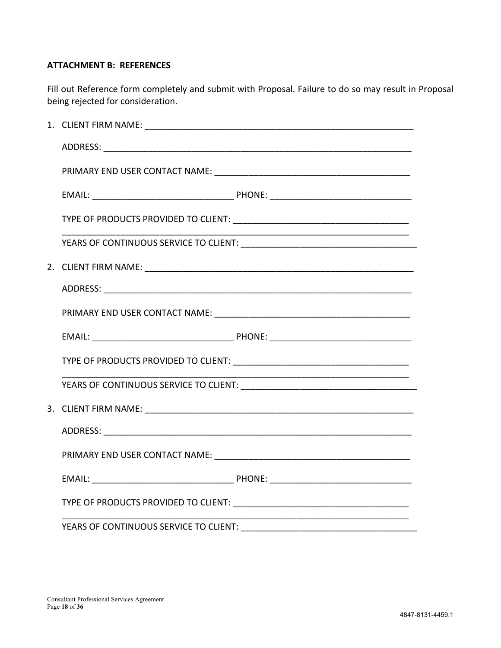# **ATTACHMENT B: REFERENCES**

Fill out Reference form completely and submit with Proposal. Failure to do so may result in Proposal being rejected for consideration.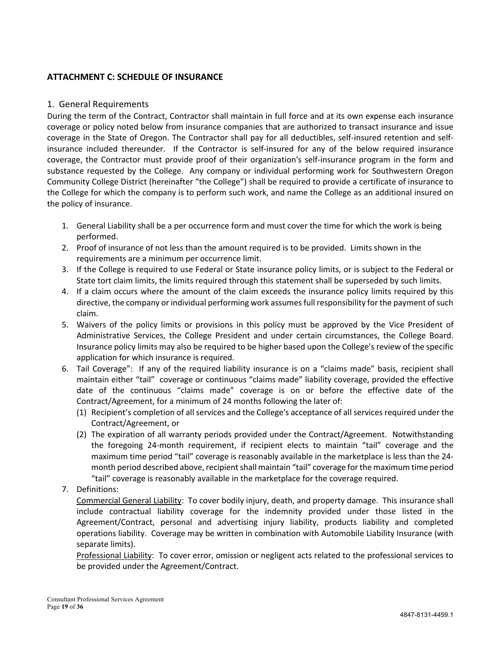# **ATTACHMENT C: SCHEDULE OF INSURANCE**

# 1. General Requirements

During the term of the Contract, Contractor shall maintain in full force and at its own expense each insurance coverage or policy noted below from insurance companies that are authorized to transact insurance and issue coverage in the State of Oregon. The Contractor shall pay for all deductibles, self-insured retention and selfinsurance included thereunder. If the Contractor is self-insured for any of the below required insurance coverage, the Contractor must provide proof of their organization's self-insurance program in the form and substance requested by the College. Any company or individual performing work for Southwestern Oregon Community College District (hereinafter "the College") shall be required to provide a certificate of insurance to the College for which the company is to perform such work, and name the College as an additional insured on the policy of insurance.

- 1. General Liability shall be a per occurrence form and must cover the time for which the work is being performed.
- 2. Proof of insurance of not less than the amount required is to be provided. Limits shown in the requirements are a minimum per occurrence limit.
- 3. If the College is required to use Federal or State insurance policy limits, or is subject to the Federal or State tort claim limits, the limits required through this statement shall be superseded by such limits.
- 4. If a claim occurs where the amount of the claim exceeds the insurance policy limits required by this directive, the company or individual performing work assumes full responsibility for the payment of such claim.
- 5. Waivers of the policy limits or provisions in this policy must be approved by the Vice President of Administrative Services, the College President and under certain circumstances, the College Board. Insurance policy limits may also be required to be higher based upon the College's review of the specific application for which insurance is required.
- 6. Tail Coverage": If any of the required liability insurance is on a "claims made" basis, recipient shall maintain either "tail" coverage or continuous "claims made" liability coverage, provided the effective date of the continuous "claims made" coverage is on or before the effective date of the Contract/Agreement, for a minimum of 24 months following the later of:
	- (1) Recipient's completion of all services and the College's acceptance of all services required under the Contract/Agreement, or
	- (2) The expiration of all warranty periods provided under the Contract/Agreement. Notwithstanding the foregoing 24-month requirement, if recipient elects to maintain "tail" coverage and the maximum time period "tail" coverage is reasonably available in the marketplace is less than the 24 month period described above, recipient shall maintain "tail" coverage for the maximum time period "tail" coverage is reasonably available in the marketplace for the coverage required.
- 7. Definitions:

Commercial General Liability: To cover bodily injury, death, and property damage. This insurance shall include contractual liability coverage for the indemnity provided under those listed in the Agreement/Contract, personal and advertising injury liability, products liability and completed operations liability. Coverage may be written in combination with Automobile Liability Insurance (with separate limits).

Professional Liability: To cover error, omission or negligent acts related to the professional services to be provided under the Agreement/Contract.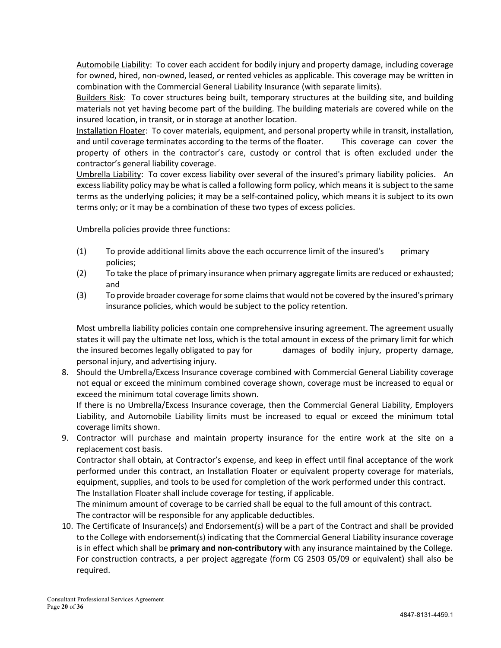Automobile Liability: To cover each accident for bodily injury and property damage, including coverage for owned, hired, non-owned, leased, or rented vehicles as applicable. This coverage may be written in combination with the Commercial General Liability Insurance (with separate limits).

Builders Risk: To cover structures being built, temporary structures at the building site, and building materials not yet having become part of the building. The building materials are covered while on the insured location, in transit, or in storage at another location.

Installation Floater: To cover materials, equipment, and personal property while in transit, installation, and until coverage terminates according to the terms of the floater. This coverage can cover the property of others in the contractor's care, custody or control that is often excluded under the contractor's general liability coverage.

Umbrella Liability: To cover excess liability over several of the insured's primary liability policies. An excess liability policy may be what is called a following form policy, which means it is subject to the same terms as the underlying policies; it may be a self-contained policy, which means it is subject to its own terms only; or it may be a combination of these two types of excess policies.

Umbrella policies provide three functions:

- (1) To provide additional limits above the each occurrence limit of the insured's primary policies;
- (2) To take the place of primary insurance when primary aggregate limits are reduced or exhausted; and
- (3) To provide broader coverage for some claims that would not be covered by the insured's primary insurance policies, which would be subject to the policy retention.

Most umbrella liability policies contain one comprehensive insuring agreement. The agreement usually states it will pay the ultimate net loss, which is the total amount in excess of the primary limit for which the insured becomes legally obligated to pay for damages of bodily injury, property damage, personal injury, and advertising injury.

8. Should the Umbrella/Excess Insurance coverage combined with Commercial General Liability coverage not equal or exceed the minimum combined coverage shown, coverage must be increased to equal or exceed the minimum total coverage limits shown.

If there is no Umbrella/Excess Insurance coverage, then the Commercial General Liability, Employers Liability, and Automobile Liability limits must be increased to equal or exceed the minimum total coverage limits shown.

9. Contractor will purchase and maintain property insurance for the entire work at the site on a replacement cost basis.

Contractor shall obtain, at Contractor's expense, and keep in effect until final acceptance of the work performed under this contract, an Installation Floater or equivalent property coverage for materials, equipment, supplies, and tools to be used for completion of the work performed under this contract. The Installation Floater shall include coverage for testing, if applicable.

The minimum amount of coverage to be carried shall be equal to the full amount of this contract.

The contractor will be responsible for any applicable deductibles.

10. The Certificate of Insurance(s) and Endorsement(s) will be a part of the Contract and shall be provided to the College with endorsement(s) indicating that the Commercial General Liability insurance coverage is in effect which shall be **primary and non-contributory** with any insurance maintained by the College. For construction contracts, a per project aggregate (form CG 2503 05/09 or equivalent) shall also be required.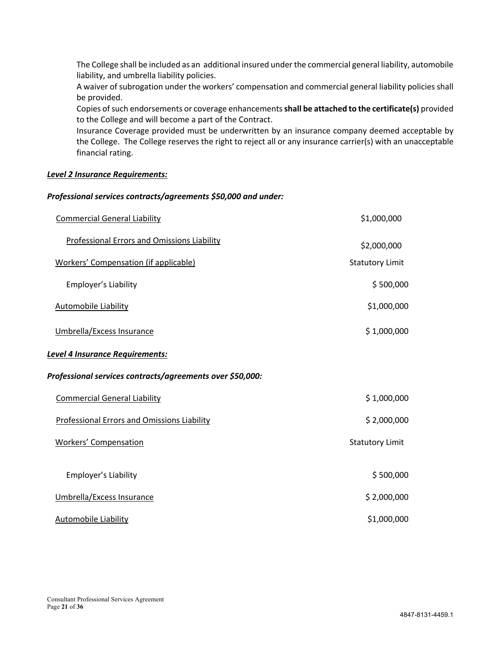The College shall be included as an additional insured under the commercial general liability, automobile liability, and umbrella liability policies.

A waiver of subrogation under the workers' compensation and commercial general liability policies shall be provided.

Copies of such endorsements or coverage enhancements **shall be attached to the certificate(s)** provided to the College and will become a part of the Contract.

Insurance Coverage provided must be underwritten by an insurance company deemed acceptable by the College. The College reserves the right to reject all or any insurance carrier(s) with an unacceptable financial rating.

#### *Level 2 Insurance Requirements:*

#### *Professional services contracts/agreements \$50,000 and under:*

| <b>Commercial General Liability</b>                       | \$1,000,000            |
|-----------------------------------------------------------|------------------------|
| <b>Professional Errors and Omissions Liability</b>        | \$2,000,000            |
| Workers' Compensation (if applicable)                     | <b>Statutory Limit</b> |
| Employer's Liability                                      | \$500,000              |
| <b>Automobile Liability</b>                               | \$1,000,000            |
| Umbrella/Excess Insurance                                 | \$1,000,000            |
| Level 4 Insurance Requirements:                           |                        |
| Professional services contracts/agreements over \$50,000: |                        |
| <b>Commercial General Liability</b>                       | \$1,000,000            |
| Professional Errors and Omissions Liability               | \$2,000,000            |
| <b>Workers' Compensation</b>                              | <b>Statutory Limit</b> |
| Employer's Liability                                      | \$500,000              |
| Umbrella/Excess Insurance                                 | \$2,000,000            |
| <b>Automobile Liability</b>                               | \$1,000,000            |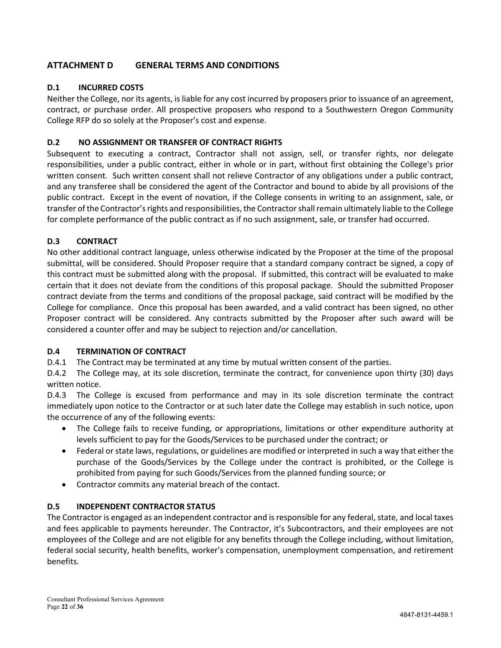# **ATTACHMENT D GENERAL TERMS AND CONDITIONS**

# **D.1 INCURRED COSTS**

Neither the College, nor its agents, is liable for any cost incurred by proposers prior to issuance of an agreement, contract, or purchase order. All prospective proposers who respond to a Southwestern Oregon Community College RFP do so solely at the Proposer's cost and expense.

#### **D.2 NO ASSIGNMENT OR TRANSFER OF CONTRACT RIGHTS**

Subsequent to executing a contract, Contractor shall not assign, sell, or transfer rights, nor delegate responsibilities, under a public contract, either in whole or in part, without first obtaining the College's prior written consent. Such written consent shall not relieve Contractor of any obligations under a public contract, and any transferee shall be considered the agent of the Contractor and bound to abide by all provisions of the public contract. Except in the event of novation, if the College consents in writing to an assignment, sale, or transfer of the Contractor's rights and responsibilities, the Contractor shall remain ultimately liable to the College for complete performance of the public contract as if no such assignment, sale, or transfer had occurred.

# **D.3 CONTRACT**

No other additional contract language, unless otherwise indicated by the Proposer at the time of the proposal submittal, will be considered. Should Proposer require that a standard company contract be signed, a copy of this contract must be submitted along with the proposal. If submitted, this contract will be evaluated to make certain that it does not deviate from the conditions of this proposal package. Should the submitted Proposer contract deviate from the terms and conditions of the proposal package, said contract will be modified by the College for compliance. Once this proposal has been awarded, and a valid contract has been signed, no other Proposer contract will be considered. Any contracts submitted by the Proposer after such award will be considered a counter offer and may be subject to rejection and/or cancellation.

#### **D.4 TERMINATION OF CONTRACT**

D.4.1 The Contract may be terminated at any time by mutual written consent of the parties.

D.4.2 The College may, at its sole discretion, terminate the contract, for convenience upon thirty (30) days written notice.

D.4.3 The College is excused from performance and may in its sole discretion terminate the contract immediately upon notice to the Contractor or at such later date the College may establish in such notice, upon the occurrence of any of the following events:

- The College fails to receive funding, or appropriations, limitations or other expenditure authority at levels sufficient to pay for the Goods/Services to be purchased under the contract; or
- Federal or state laws, regulations, or guidelines are modified or interpreted in such a way that either the purchase of the Goods/Services by the College under the contract is prohibited, or the College is prohibited from paying for such Goods/Services from the planned funding source; or
- Contractor commits any material breach of the contact.

#### **D.5 INDEPENDENT CONTRACTOR STATUS**

The Contractor is engaged as an independent contractor and is responsible for any federal, state, and local taxes and fees applicable to payments hereunder. The Contractor, it's Subcontractors, and their employees are not employees of the College and are not eligible for any benefits through the College including, without limitation, federal social security, health benefits, worker's compensation, unemployment compensation, and retirement benefits.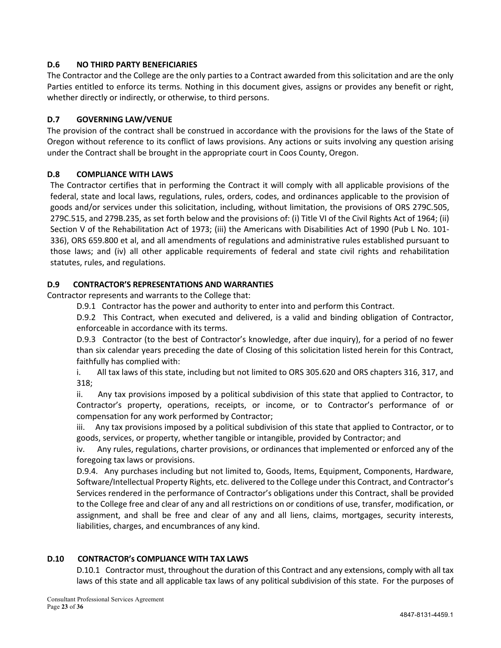# **D.6 NO THIRD PARTY BENEFICIARIES**

The Contractor and the College are the only parties to a Contract awarded from this solicitation and are the only Parties entitled to enforce its terms. Nothing in this document gives, assigns or provides any benefit or right, whether directly or indirectly, or otherwise, to third persons.

# **D.7 GOVERNING LAW/VENUE**

The provision of the contract shall be construed in accordance with the provisions for the laws of the State of Oregon without reference to its conflict of laws provisions. Any actions or suits involving any question arising under the Contract shall be brought in the appropriate court in Coos County, Oregon.

# **D.8 COMPLIANCE WITH LAWS**

The Contractor certifies that in performing the Contract it will comply with all applicable provisions of the federal, state and local laws, regulations, rules, orders, codes, and ordinances applicable to the provision of goods and/or services under this solicitation, including, without limitation, the provisions of ORS 279C.505, 279C.515, and 279B.235, as set forth below and the provisions of: (i) Title VI of the Civil Rights Act of 1964; (ii) Section V of the Rehabilitation Act of 1973; (iii) the Americans with Disabilities Act of 1990 (Pub L No. 101- 336), ORS 659.800 et al, and all amendments of regulations and administrative rules established pursuant to those laws; and (iv) all other applicable requirements of federal and state civil rights and rehabilitation statutes, rules, and regulations.

# **D.9 CONTRACTOR'S REPRESENTATIONS AND WARRANTIES**

Contractor represents and warrants to the College that:

D.9.1 Contractor has the power and authority to enter into and perform this Contract.

D.9.2 This Contract, when executed and delivered, is a valid and binding obligation of Contractor, enforceable in accordance with its terms.

D.9.3 Contractor (to the best of Contractor's knowledge, after due inquiry), for a period of no fewer than six calendar years preceding the date of Closing of this solicitation listed herein for this Contract, faithfully has complied with:

i. All tax laws of this state, including but not limited to ORS 305.620 and ORS chapters 316, 317, and 318;

ii. Any tax provisions imposed by a political subdivision of this state that applied to Contractor, to Contractor's property, operations, receipts, or income, or to Contractor's performance of or compensation for any work performed by Contractor;

iii. Any tax provisions imposed by a political subdivision of this state that applied to Contractor, or to goods, services, or property, whether tangible or intangible, provided by Contractor; and

iv. Any rules, regulations, charter provisions, or ordinances that implemented or enforced any of the foregoing tax laws or provisions.

D.9.4. Any purchases including but not limited to, Goods, Items, Equipment, Components, Hardware, Software/Intellectual Property Rights, etc. delivered to the College under this Contract, and Contractor's Services rendered in the performance of Contractor's obligations under this Contract, shall be provided to the College free and clear of any and all restrictions on or conditions of use, transfer, modification, or assignment, and shall be free and clear of any and all liens, claims, mortgages, security interests, liabilities, charges, and encumbrances of any kind.

#### **D.10 CONTRACTOR's COMPLIANCE WITH TAX LAWS**

D.10.1 Contractor must, throughout the duration of this Contract and any extensions, comply with all tax laws of this state and all applicable tax laws of any political subdivision of this state. For the purposes of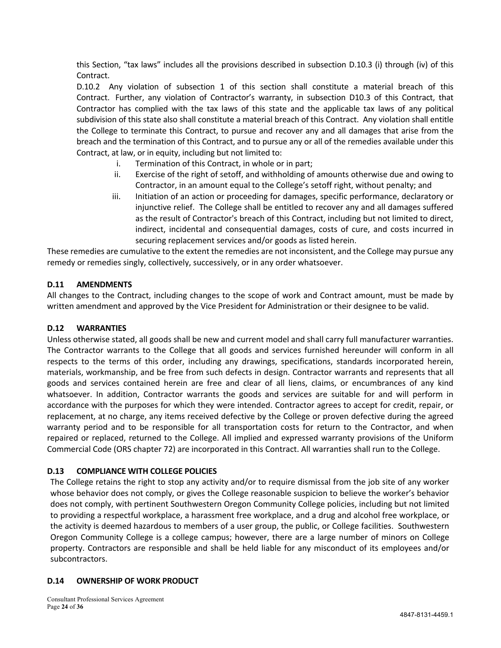this Section, "tax laws" includes all the provisions described in subsection D.10.3 (i) through (iv) of this Contract.

D.10.2 Any violation of subsection 1 of this section shall constitute a material breach of this Contract. Further, any violation of Contractor's warranty, in subsection D10.3 of this Contract, that Contractor has complied with the tax laws of this state and the applicable tax laws of any political subdivision of this state also shall constitute a material breach of this Contract. Any violation shall entitle the College to terminate this Contract, to pursue and recover any and all damages that arise from the breach and the termination of this Contract, and to pursue any or all of the remedies available under this Contract, at law, or in equity, including but not limited to:

- i. Termination of this Contract, in whole or in part;
- ii. Exercise of the right of setoff, and withholding of amounts otherwise due and owing to Contractor, in an amount equal to the College's setoff right, without penalty; and
- iii. Initiation of an action or proceeding for damages, specific performance, declaratory or injunctive relief. The College shall be entitled to recover any and all damages suffered as the result of Contractor's breach of this Contract, including but not limited to direct, indirect, incidental and consequential damages, costs of cure, and costs incurred in securing replacement services and/or goods as listed herein.

These remedies are cumulative to the extent the remedies are not inconsistent, and the College may pursue any remedy or remedies singly, collectively, successively, or in any order whatsoever.

# **D.11 AMENDMENTS**

All changes to the Contract, including changes to the scope of work and Contract amount, must be made by written amendment and approved by the Vice President for Administration or their designee to be valid.

#### **D.12 WARRANTIES**

Unless otherwise stated, all goods shall be new and current model and shall carry full manufacturer warranties. The Contractor warrants to the College that all goods and services furnished hereunder will conform in all respects to the terms of this order, including any drawings, specifications, standards incorporated herein, materials, workmanship, and be free from such defects in design. Contractor warrants and represents that all goods and services contained herein are free and clear of all liens, claims, or encumbrances of any kind whatsoever. In addition, Contractor warrants the goods and services are suitable for and will perform in accordance with the purposes for which they were intended. Contractor agrees to accept for credit, repair, or replacement, at no charge, any items received defective by the College or proven defective during the agreed warranty period and to be responsible for all transportation costs for return to the Contractor, and when repaired or replaced, returned to the College. All implied and expressed warranty provisions of the Uniform Commercial Code (ORS chapter 72) are incorporated in this Contract. All warranties shall run to the College.

#### **D.13 COMPLIANCE WITH COLLEGE POLICIES**

The College retains the right to stop any activity and/or to require dismissal from the job site of any worker whose behavior does not comply, or gives the College reasonable suspicion to believe the worker's behavior does not comply, with pertinent Southwestern Oregon Community College policies, including but not limited to providing a respectful workplace, a harassment free workplace, and a drug and alcohol free workplace, or the activity is deemed hazardous to members of a user group, the public, or College facilities. Southwestern Oregon Community College is a college campus; however, there are a large number of minors on College property. Contractors are responsible and shall be held liable for any misconduct of its employees and/or subcontractors.

#### **D.14 OWNERSHIP OF WORK PRODUCT**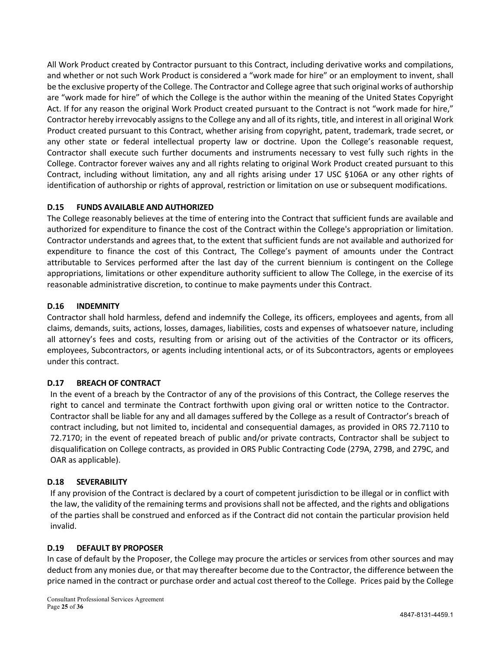All Work Product created by Contractor pursuant to this Contract, including derivative works and compilations, and whether or not such Work Product is considered a "work made for hire" or an employment to invent, shall be the exclusive property of the College. The Contractor and College agree that such original works of authorship are "work made for hire" of which the College is the author within the meaning of the United States Copyright Act. If for any reason the original Work Product created pursuant to the Contract is not "work made for hire," Contractor hereby irrevocably assigns to the College any and all of its rights, title, and interest in all original Work Product created pursuant to this Contract, whether arising from copyright, patent, trademark, trade secret, or any other state or federal intellectual property law or doctrine. Upon the College's reasonable request, Contractor shall execute such further documents and instruments necessary to vest fully such rights in the College. Contractor forever waives any and all rights relating to original Work Product created pursuant to this Contract, including without limitation, any and all rights arising under 17 USC §106A or any other rights of identification of authorship or rights of approval, restriction or limitation on use or subsequent modifications.

# **D.15 FUNDS AVAILABLE AND AUTHORIZED**

The College reasonably believes at the time of entering into the Contract that sufficient funds are available and authorized for expenditure to finance the cost of the Contract within the College's appropriation or limitation. Contractor understands and agrees that, to the extent that sufficient funds are not available and authorized for expenditure to finance the cost of this Contract, The College's payment of amounts under the Contract attributable to Services performed after the last day of the current biennium is contingent on the College appropriations, limitations or other expenditure authority sufficient to allow The College, in the exercise of its reasonable administrative discretion, to continue to make payments under this Contract.

# **D.16 INDEMNITY**

Contractor shall hold harmless, defend and indemnify the College, its officers, employees and agents, from all claims, demands, suits, actions, losses, damages, liabilities, costs and expenses of whatsoever nature, including all attorney's fees and costs, resulting from or arising out of the activities of the Contractor or its officers, employees, Subcontractors, or agents including intentional acts, or of its Subcontractors, agents or employees under this contract.

# **D.17 BREACH OF CONTRACT**

In the event of a breach by the Contractor of any of the provisions of this Contract, the College reserves the right to cancel and terminate the Contract forthwith upon giving oral or written notice to the Contractor. Contractor shall be liable for any and all damages suffered by the College as a result of Contractor's breach of contract including, but not limited to, incidental and consequential damages, as provided in ORS 72.7110 to 72.7170; in the event of repeated breach of public and/or private contracts, Contractor shall be subject to disqualification on College contracts, as provided in ORS Public Contracting Code (279A, 279B, and 279C, and OAR as applicable).

#### **D.18 SEVERABILITY**

If any provision of the Contract is declared by a court of competent jurisdiction to be illegal or in conflict with the law, the validity of the remaining terms and provisions shall not be affected, and the rights and obligations of the parties shall be construed and enforced as if the Contract did not contain the particular provision held invalid.

#### **D.19 DEFAULT BY PROPOSER**

In case of default by the Proposer, the College may procure the articles or services from other sources and may deduct from any monies due, or that may thereafter become due to the Contractor, the difference between the price named in the contract or purchase order and actual cost thereof to the College. Prices paid by the College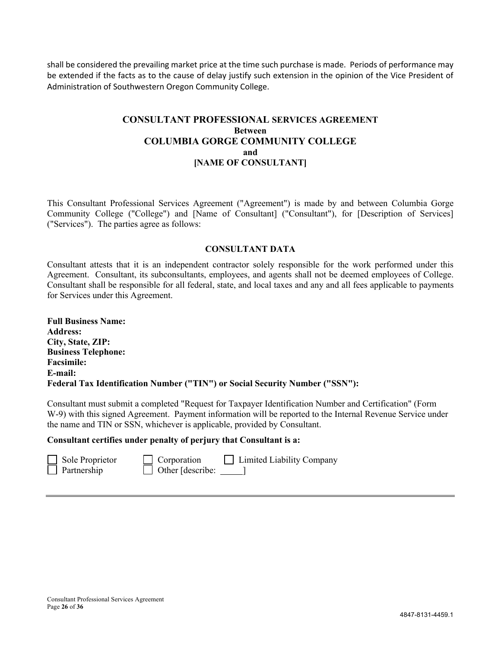shall be considered the prevailing market price at the time such purchase is made. Periods of performance may be extended if the facts as to the cause of delay justify such extension in the opinion of the Vice President of Administration of Southwestern Oregon Community College.

# **CONSULTANT PROFESSIONAL SERVICES AGREEMENT Between COLUMBIA GORGE COMMUNITY COLLEGE and [NAME OF CONSULTANT]**

This Consultant Professional Services Agreement ("Agreement") is made by and between Columbia Gorge Community College ("College") and [Name of Consultant] ("Consultant"), for [Description of Services] ("Services"). The parties agree as follows:

#### **CONSULTANT DATA**

Consultant attests that it is an independent contractor solely responsible for the work performed under this Agreement. Consultant, its subconsultants, employees, and agents shall not be deemed employees of College. Consultant shall be responsible for all federal, state, and local taxes and any and all fees applicable to payments for Services under this Agreement.

| <b>Full Business Name:</b>                                                   |
|------------------------------------------------------------------------------|
| <b>Address:</b>                                                              |
| City, State, ZIP:                                                            |
| <b>Business Telephone:</b>                                                   |
| <b>Facsimile:</b>                                                            |
| E-mail:                                                                      |
| Federal Tax Identification Number ("TIN") or Social Security Number ("SSN"): |

Consultant must submit a completed "Request for Taxpayer Identification Number and Certification" (Form W-9) with this signed Agreement. Payment information will be reported to the Internal Revenue Service under the name and TIN or SSN, whichever is applicable, provided by Consultant.

#### **Consultant certifies under penalty of perjury that Consultant is a:**

| sole  |
|-------|
| Partn |

 $\Box$   $\Box$  Other [describe: ]

Proprietor  $\Box$  Corporation  $\Box$  Limited Liability Company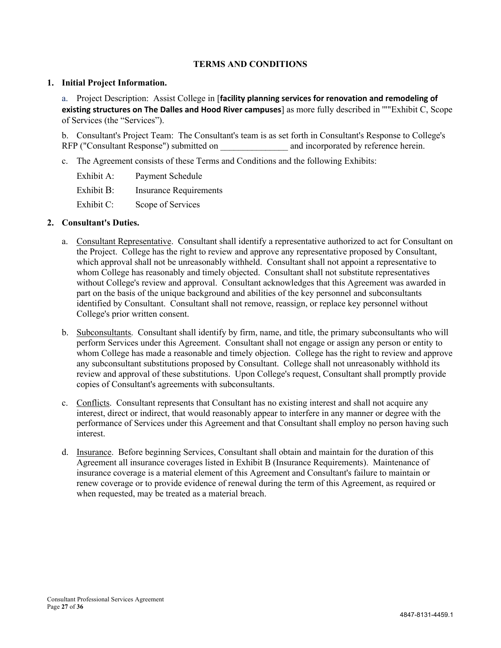#### **TERMS AND CONDITIONS**

#### **1. Initial Project Information.**

a. Project Description: Assist College in [**facility planning services for renovation and remodeling of existing structures on The Dalles and Hood River campuses**] as more fully described in '""Exhibit C, Scope of Services (the "Services").

b. Consultant's Project Team: The Consultant's team is as set forth in Consultant's Response to College's RFP ("Consultant Response") submitted on  $\Box$  and incorporated by reference herein.

c. The Agreement consists of these Terms and Conditions and the following Exhibits:

| Exhibit A: | Payment Schedule              |
|------------|-------------------------------|
| Exhibit B: | <b>Insurance Requirements</b> |
| Exhibit C: | Scope of Services             |

#### **2. Consultant's Duties.**

- a. Consultant Representative. Consultant shall identify a representative authorized to act for Consultant on the Project. College has the right to review and approve any representative proposed by Consultant, which approval shall not be unreasonably withheld. Consultant shall not appoint a representative to whom College has reasonably and timely objected. Consultant shall not substitute representatives without College's review and approval. Consultant acknowledges that this Agreement was awarded in part on the basis of the unique background and abilities of the key personnel and subconsultants identified by Consultant. Consultant shall not remove, reassign, or replace key personnel without College's prior written consent.
- b. Subconsultants. Consultant shall identify by firm, name, and title, the primary subconsultants who will perform Services under this Agreement. Consultant shall not engage or assign any person or entity to whom College has made a reasonable and timely objection. College has the right to review and approve any subconsultant substitutions proposed by Consultant. College shall not unreasonably withhold its review and approval of these substitutions. Upon College's request, Consultant shall promptly provide copies of Consultant's agreements with subconsultants.
- c. Conflicts. Consultant represents that Consultant has no existing interest and shall not acquire any interest, direct or indirect, that would reasonably appear to interfere in any manner or degree with the performance of Services under this Agreement and that Consultant shall employ no person having such interest.
- d. Insurance. Before beginning Services, Consultant shall obtain and maintain for the duration of this Agreement all insurance coverages listed in Exhibit B (Insurance Requirements). Maintenance of insurance coverage is a material element of this Agreement and Consultant's failure to maintain or renew coverage or to provide evidence of renewal during the term of this Agreement, as required or when requested, may be treated as a material breach.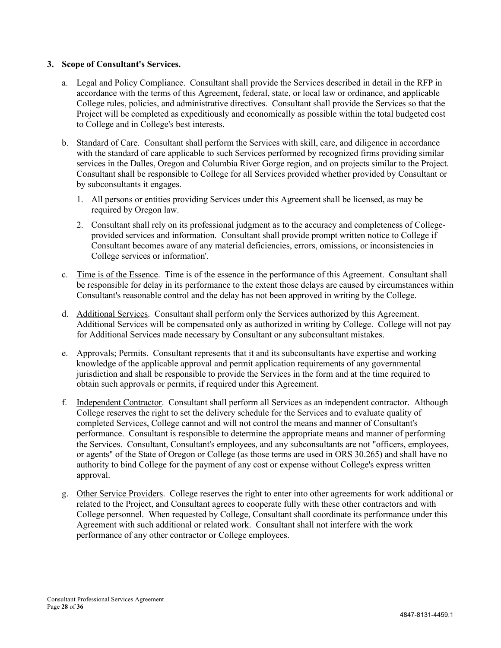#### **3. Scope of Consultant's Services.**

- a. Legal and Policy Compliance. Consultant shall provide the Services described in detail in the RFP in accordance with the terms of this Agreement, federal, state, or local law or ordinance, and applicable College rules, policies, and administrative directives. Consultant shall provide the Services so that the Project will be completed as expeditiously and economically as possible within the total budgeted cost to College and in College's best interests.
- b. Standard of Care. Consultant shall perform the Services with skill, care, and diligence in accordance with the standard of care applicable to such Services performed by recognized firms providing similar services in the Dalles, Oregon and Columbia River Gorge region, and on projects similar to the Project. Consultant shall be responsible to College for all Services provided whether provided by Consultant or by subconsultants it engages.
	- 1. All persons or entities providing Services under this Agreement shall be licensed, as may be required by Oregon law.
	- 2. Consultant shall rely on its professional judgment as to the accuracy and completeness of Collegeprovided services and information. Consultant shall provide prompt written notice to College if Consultant becomes aware of any material deficiencies, errors, omissions, or inconsistencies in College services or information'.
- c. Time is of the Essence. Time is of the essence in the performance of this Agreement. Consultant shall be responsible for delay in its performance to the extent those delays are caused by circumstances within Consultant's reasonable control and the delay has not been approved in writing by the College.
- d. Additional Services. Consultant shall perform only the Services authorized by this Agreement. Additional Services will be compensated only as authorized in writing by College. College will not pay for Additional Services made necessary by Consultant or any subconsultant mistakes.
- e. Approvals; Permits. Consultant represents that it and its subconsultants have expertise and working knowledge of the applicable approval and permit application requirements of any governmental jurisdiction and shall be responsible to provide the Services in the form and at the time required to obtain such approvals or permits, if required under this Agreement.
- f. Independent Contractor. Consultant shall perform all Services as an independent contractor. Although College reserves the right to set the delivery schedule for the Services and to evaluate quality of completed Services, College cannot and will not control the means and manner of Consultant's performance. Consultant is responsible to determine the appropriate means and manner of performing the Services. Consultant, Consultant's employees, and any subconsultants are not "officers, employees, or agents" of the State of Oregon or College (as those terms are used in ORS 30.265) and shall have no authority to bind College for the payment of any cost or expense without College's express written approval.
- g. Other Service Providers. College reserves the right to enter into other agreements for work additional or related to the Project, and Consultant agrees to cooperate fully with these other contractors and with College personnel. When requested by College, Consultant shall coordinate its performance under this Agreement with such additional or related work. Consultant shall not interfere with the work performance of any other contractor or College employees.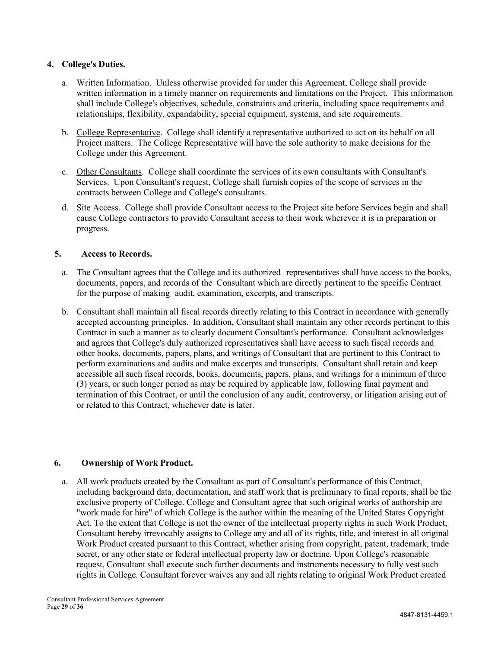#### **4. College's Duties.**

- a. Written Information. Unless otherwise provided for under this Agreement, College shall provide written information in a timely manner on requirements and limitations on the Project. This information shall include College's objectives, schedule, constraints and criteria, including space requirements and relationships, flexibility, expandability, special equipment, systems, and site requirements.
- b. College Representative. College shall identify a representative authorized to act on its behalf on all Project matters. The College Representative will have the sole authority to make decisions for the College under this Agreement.
- c. Other Consultants. College shall coordinate the services of its own consultants with Consultant's Services. Upon Consultant's request, College shall furnish copies of the scope of services in the contracts between College and College's consultants.
- d. Site Access. College shall provide Consultant access to the Project site before Services begin and shall cause College contractors to provide Consultant access to their work wherever it is in preparation or progress.

# **5. Access to Records.**

- a. The Consultant agrees that the College and its authorized representatives shall have access to the books, documents, papers, and records of the Consultant which are directly pertinent to the specific Contract for the purpose of making audit, examination, excerpts, and transcripts.
- b. Consultant shall maintain all fiscal records directly relating to this Contract in accordance with generally accepted accounting principles. In addition, Consultant shall maintain any other records pertinent to this Contract in such a manner as to clearly document Consultant's performance. Consultant acknowledges and agrees that College's duly authorized representatives shall have access to such fiscal records and other books, documents, papers, plans, and writings of Consultant that are pertinent to this Contract to perform examinations and audits and make excerpts and transcripts. Consultant shall retain and keep accessible all such fiscal records, books, documents, papers, plans, and writings for a minimum of three (3) years, or such longer period as may be required by applicable law, following final payment and termination of this Contract, or until the conclusion of any audit, controversy, or litigation arising out of or related to this Contract, whichever date is later.

#### **6. Ownership of Work Product.**

a. All work products created by the Consultant as part of Consultant's performance of this Contract, including background data, documentation, and staff work that is preliminary to final reports, shall be the exclusive property of College. College and Consultant agree that such original works of authorship are "work made for hire" of which College is the author within the meaning of the United States Copyright Act. To the extent that College is not the owner of the intellectual property rights in such Work Product, Consultant hereby irrevocably assigns to College any and all of its rights, title, and interest in all original Work Product created pursuant to this Contract, whether arising from copyright, patent, trademark, trade secret, or any other state or federal intellectual property law or doctrine. Upon College's reasonable request, Consultant shall execute such further documents and instruments necessary to fully vest such rights in College. Consultant forever waives any and all rights relating to original Work Product created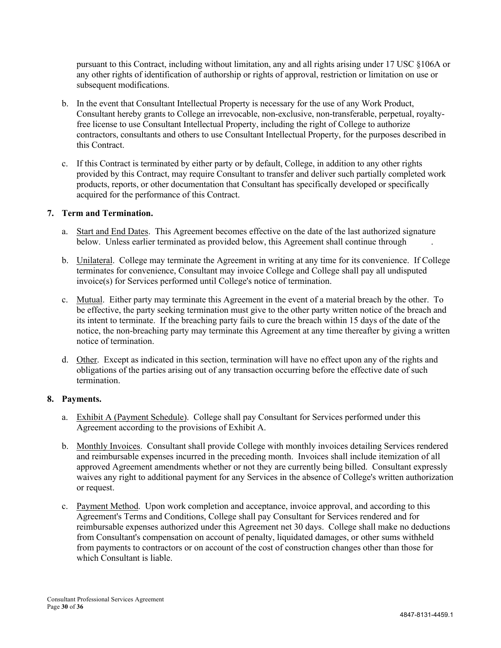pursuant to this Contract, including without limitation, any and all rights arising under 17 USC §106A or any other rights of identification of authorship or rights of approval, restriction or limitation on use or subsequent modifications.

- b. In the event that Consultant Intellectual Property is necessary for the use of any Work Product, Consultant hereby grants to College an irrevocable, non-exclusive, non-transferable, perpetual, royaltyfree license to use Consultant Intellectual Property, including the right of College to authorize contractors, consultants and others to use Consultant Intellectual Property, for the purposes described in this Contract.
- c. If this Contract is terminated by either party or by default, College, in addition to any other rights provided by this Contract, may require Consultant to transfer and deliver such partially completed work products, reports, or other documentation that Consultant has specifically developed or specifically acquired for the performance of this Contract.

#### **7. Term and Termination.**

- a. Start and End Dates. This Agreement becomes effective on the date of the last authorized signature below. Unless earlier terminated as provided below, this Agreement shall continue through
- b. Unilateral. College may terminate the Agreement in writing at any time for its convenience. If College terminates for convenience, Consultant may invoice College and College shall pay all undisputed invoice(s) for Services performed until College's notice of termination.
- c. Mutual. Either party may terminate this Agreement in the event of a material breach by the other. To be effective, the party seeking termination must give to the other party written notice of the breach and its intent to terminate. If the breaching party fails to cure the breach within 15 days of the date of the notice, the non-breaching party may terminate this Agreement at any time thereafter by giving a written notice of termination.
- d. Other. Except as indicated in this section, termination will have no effect upon any of the rights and obligations of the parties arising out of any transaction occurring before the effective date of such termination.

#### **8. Payments.**

- a. Exhibit A (Payment Schedule). College shall pay Consultant for Services performed under this Agreement according to the provisions of Exhibit A.
- b. Monthly Invoices. Consultant shall provide College with monthly invoices detailing Services rendered and reimbursable expenses incurred in the preceding month. Invoices shall include itemization of all approved Agreement amendments whether or not they are currently being billed. Consultant expressly waives any right to additional payment for any Services in the absence of College's written authorization or request.
- c. Payment Method. Upon work completion and acceptance, invoice approval, and according to this Agreement's Terms and Conditions, College shall pay Consultant for Services rendered and for reimbursable expenses authorized under this Agreement net 30 days. College shall make no deductions from Consultant's compensation on account of penalty, liquidated damages, or other sums withheld from payments to contractors or on account of the cost of construction changes other than those for which Consultant is liable.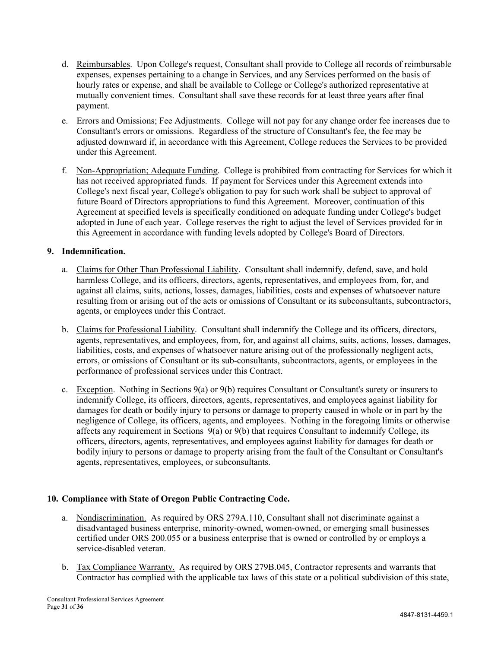- d. Reimbursables. Upon College's request, Consultant shall provide to College all records of reimbursable expenses, expenses pertaining to a change in Services, and any Services performed on the basis of hourly rates or expense, and shall be available to College or College's authorized representative at mutually convenient times. Consultant shall save these records for at least three years after final payment.
- e. Errors and Omissions; Fee Adjustments. College will not pay for any change order fee increases due to Consultant's errors or omissions. Regardless of the structure of Consultant's fee, the fee may be adjusted downward if, in accordance with this Agreement, College reduces the Services to be provided under this Agreement.
- f. Non-Appropriation; Adequate Funding. College is prohibited from contracting for Services for which it has not received appropriated funds. If payment for Services under this Agreement extends into College's next fiscal year, College's obligation to pay for such work shall be subject to approval of future Board of Directors appropriations to fund this Agreement. Moreover, continuation of this Agreement at specified levels is specifically conditioned on adequate funding under College's budget adopted in June of each year. College reserves the right to adjust the level of Services provided for in this Agreement in accordance with funding levels adopted by College's Board of Directors.

# **9. Indemnification.**

- a. Claims for Other Than Professional Liability. Consultant shall indemnify, defend, save, and hold harmless College, and its officers, directors, agents, representatives, and employees from, for, and against all claims, suits, actions, losses, damages, liabilities, costs and expenses of whatsoever nature resulting from or arising out of the acts or omissions of Consultant or its subconsultants, subcontractors, agents, or employees under this Contract.
- b. Claims for Professional Liability. Consultant shall indemnify the College and its officers, directors, agents, representatives, and employees, from, for, and against all claims, suits, actions, losses, damages, liabilities, costs, and expenses of whatsoever nature arising out of the professionally negligent acts, errors, or omissions of Consultant or its sub-consultants, subcontractors, agents, or employees in the performance of professional services under this Contract.
- c. Exception. Nothing in Sections  $9(a)$  or  $9(b)$  requires Consultant or Consultant's surety or insurers to indemnify College, its officers, directors, agents, representatives, and employees against liability for damages for death or bodily injury to persons or damage to property caused in whole or in part by the negligence of College, its officers, agents, and employees. Nothing in the foregoing limits or otherwise affects any requirement in Sections 9(a) or 9(b) that requires Consultant to indemnify College, its officers, directors, agents, representatives, and employees against liability for damages for death or bodily injury to persons or damage to property arising from the fault of the Consultant or Consultant's agents, representatives, employees, or subconsultants.

# **10. Compliance with State of Oregon Public Contracting Code.**

- a. Nondiscrimination. As required by ORS 279A.110, Consultant shall not discriminate against a disadvantaged business enterprise, minority-owned, women-owned, or emerging small businesses certified under ORS 200.055 or a business enterprise that is owned or controlled by or employs a service-disabled veteran.
- b. Tax Compliance Warranty. As required by ORS 279B.045, Contractor represents and warrants that Contractor has complied with the applicable tax laws of this state or a political subdivision of this state,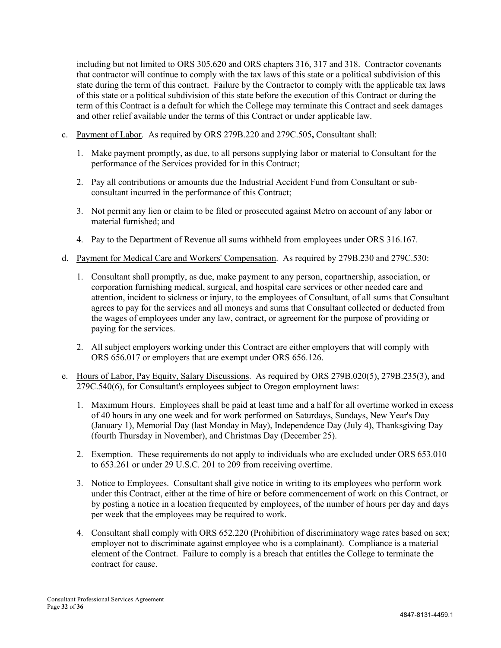including but not limited to ORS 305.620 and ORS chapters 316, 317 and 318. Contractor covenants that contractor will continue to comply with the tax laws of this state or a political subdivision of this state during the term of this contract. Failure by the Contractor to comply with the applicable tax laws of this state or a political subdivision of this state before the execution of this Contract or during the term of this Contract is a default for which the College may terminate this Contract and seek damages and other relief available under the terms of this Contract or under applicable law.

- c. Payment of Labor. As required by ORS 279B.220 and 279C.505**,** Consultant shall:
	- 1. Make payment promptly, as due, to all persons supplying labor or material to Consultant for the performance of the Services provided for in this Contract;
	- 2. Pay all contributions or amounts due the Industrial Accident Fund from Consultant or subconsultant incurred in the performance of this Contract;
	- 3. Not permit any lien or claim to be filed or prosecuted against Metro on account of any labor or material furnished; and
	- 4. Pay to the Department of Revenue all sums withheld from employees under ORS 316.167.
- d. Payment for Medical Care and Workers' Compensation. As required by 279B.230 and 279C.530:
	- 1. Consultant shall promptly, as due, make payment to any person, copartnership, association, or corporation furnishing medical, surgical, and hospital care services or other needed care and attention, incident to sickness or injury, to the employees of Consultant, of all sums that Consultant agrees to pay for the services and all moneys and sums that Consultant collected or deducted from the wages of employees under any law, contract, or agreement for the purpose of providing or paying for the services.
	- 2. All subject employers working under this Contract are either employers that will comply with ORS 656.017 or employers that are exempt under ORS 656.126.
- e. Hours of Labor, Pay Equity, Salary Discussions. As required by ORS 279B.020(5), 279B.235(3), and 279C.540(6), for Consultant's employees subject to Oregon employment laws:
	- 1. Maximum Hours. Employees shall be paid at least time and a half for all overtime worked in excess of 40 hours in any one week and for work performed on Saturdays, Sundays, New Year's Day (January 1), Memorial Day (last Monday in May), Independence Day (July 4), Thanksgiving Day (fourth Thursday in November), and Christmas Day (December 25).
	- 2. Exemption. These requirements do not apply to individuals who are excluded under ORS 653.010 to 653.261 or under 29 U.S.C. 201 to 209 from receiving overtime.
	- 3. Notice to Employees. Consultant shall give notice in writing to its employees who perform work under this Contract, either at the time of hire or before commencement of work on this Contract, or by posting a notice in a location frequented by employees, of the number of hours per day and days per week that the employees may be required to work.
	- 4. Consultant shall comply with ORS 652.220 (Prohibition of discriminatory wage rates based on sex; employer not to discriminate against employee who is a complainant). Compliance is a material element of the Contract. Failure to comply is a breach that entitles the College to terminate the contract for cause.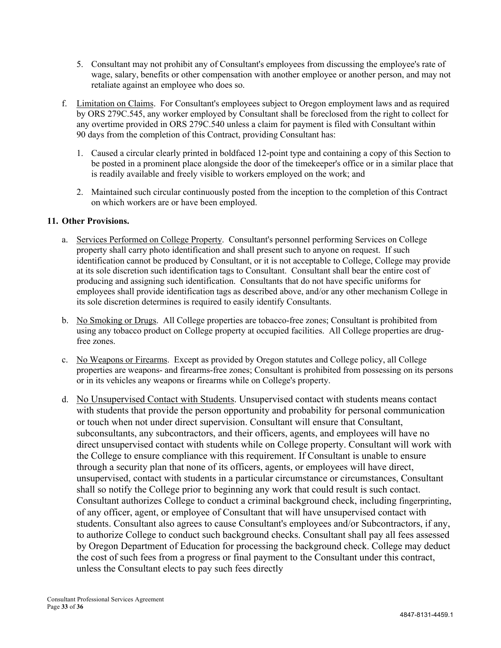- 5. Consultant may not prohibit any of Consultant's employees from discussing the employee's rate of wage, salary, benefits or other compensation with another employee or another person, and may not retaliate against an employee who does so.
- f. Limitation on Claims. For Consultant's employees subject to Oregon employment laws and as required by ORS 279C.545, any worker employed by Consultant shall be foreclosed from the right to collect for any overtime provided in ORS 279C.540 unless a claim for payment is filed with Consultant within 90 days from the completion of this Contract, providing Consultant has:
	- 1. Caused a circular clearly printed in boldfaced 12-point type and containing a copy of this Section to be posted in a prominent place alongside the door of the timekeeper's office or in a similar place that is readily available and freely visible to workers employed on the work; and
	- 2. Maintained such circular continuously posted from the inception to the completion of this Contract on which workers are or have been employed.

# **11. Other Provisions.**

- a. Services Performed on College Property. Consultant's personnel performing Services on College property shall carry photo identification and shall present such to anyone on request. If such identification cannot be produced by Consultant, or it is not acceptable to College, College may provide at its sole discretion such identification tags to Consultant. Consultant shall bear the entire cost of producing and assigning such identification. Consultants that do not have specific uniforms for employees shall provide identification tags as described above, and/or any other mechanism College in its sole discretion determines is required to easily identify Consultants.
- b. No Smoking or Drugs. All College properties are tobacco-free zones; Consultant is prohibited from using any tobacco product on College property at occupied facilities. All College properties are drugfree zones.
- c. No Weapons or Firearms. Except as provided by Oregon statutes and College policy, all College properties are weapons- and firearms-free zones; Consultant is prohibited from possessing on its persons or in its vehicles any weapons or firearms while on College's property.
- d. No Unsupervised Contact with Students. Unsupervised contact with students means contact with students that provide the person opportunity and probability for personal communication or touch when not under direct supervision. Consultant will ensure that Consultant, subconsultants, any subcontractors, and their officers, agents, and employees will have no direct unsupervised contact with students while on College property. Consultant will work with the College to ensure compliance with this requirement. If Consultant is unable to ensure through a security plan that none of its officers, agents, or employees will have direct, unsupervised, contact with students in a particular circumstance or circumstances, Consultant shall so notify the College prior to beginning any work that could result is such contact. Consultant authorizes College to conduct a criminal background check, including fingerprinting, of any officer, agent, or employee of Consultant that will have unsupervised contact with students. Consultant also agrees to cause Consultant's employees and/or Subcontractors, if any, to authorize College to conduct such background checks. Consultant shall pay all fees assessed by Oregon Department of Education for processing the background check. College may deduct the cost of such fees from a progress or final payment to the Consultant under this contract, unless the Consultant elects to pay such fees directly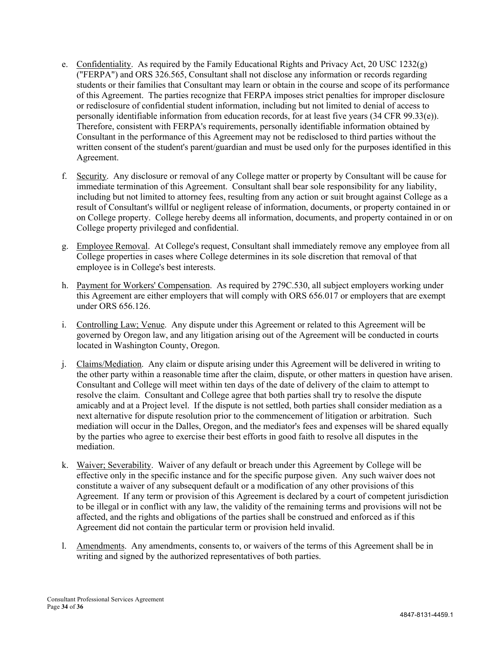- e. Confidentiality. As required by the Family Educational Rights and Privacy Act, 20 USC 1232(g) ("FERPA") and ORS 326.565, Consultant shall not disclose any information or records regarding students or their families that Consultant may learn or obtain in the course and scope of its performance of this Agreement. The parties recognize that FERPA imposes strict penalties for improper disclosure or redisclosure of confidential student information, including but not limited to denial of access to personally identifiable information from education records, for at least five years (34 CFR 99.33(e)). Therefore, consistent with FERPA's requirements, personally identifiable information obtained by Consultant in the performance of this Agreement may not be redisclosed to third parties without the written consent of the student's parent/guardian and must be used only for the purposes identified in this Agreement.
- f. Security. Any disclosure or removal of any College matter or property by Consultant will be cause for immediate termination of this Agreement. Consultant shall bear sole responsibility for any liability, including but not limited to attorney fees, resulting from any action or suit brought against College as a result of Consultant's willful or negligent release of information, documents, or property contained in or on College property. College hereby deems all information, documents, and property contained in or on College property privileged and confidential.
- g. Employee Removal. At College's request, Consultant shall immediately remove any employee from all College properties in cases where College determines in its sole discretion that removal of that employee is in College's best interests.
- h. Payment for Workers' Compensation. As required by 279C.530, all subject employers working under this Agreement are either employers that will comply with ORS 656.017 or employers that are exempt under ORS 656.126.
- i. Controlling Law; Venue. Any dispute under this Agreement or related to this Agreement will be governed by Oregon law, and any litigation arising out of the Agreement will be conducted in courts located in Washington County, Oregon.
- j. Claims/Mediation. Any claim or dispute arising under this Agreement will be delivered in writing to the other party within a reasonable time after the claim, dispute, or other matters in question have arisen. Consultant and College will meet within ten days of the date of delivery of the claim to attempt to resolve the claim. Consultant and College agree that both parties shall try to resolve the dispute amicably and at a Project level. If the dispute is not settled, both parties shall consider mediation as a next alternative for dispute resolution prior to the commencement of litigation or arbitration. Such mediation will occur in the Dalles, Oregon, and the mediator's fees and expenses will be shared equally by the parties who agree to exercise their best efforts in good faith to resolve all disputes in the mediation.
- k. Waiver; Severability. Waiver of any default or breach under this Agreement by College will be effective only in the specific instance and for the specific purpose given. Any such waiver does not constitute a waiver of any subsequent default or a modification of any other provisions of this Agreement. If any term or provision of this Agreement is declared by a court of competent jurisdiction to be illegal or in conflict with any law, the validity of the remaining terms and provisions will not be affected, and the rights and obligations of the parties shall be construed and enforced as if this Agreement did not contain the particular term or provision held invalid.
- l. Amendments. Any amendments, consents to, or waivers of the terms of this Agreement shall be in writing and signed by the authorized representatives of both parties.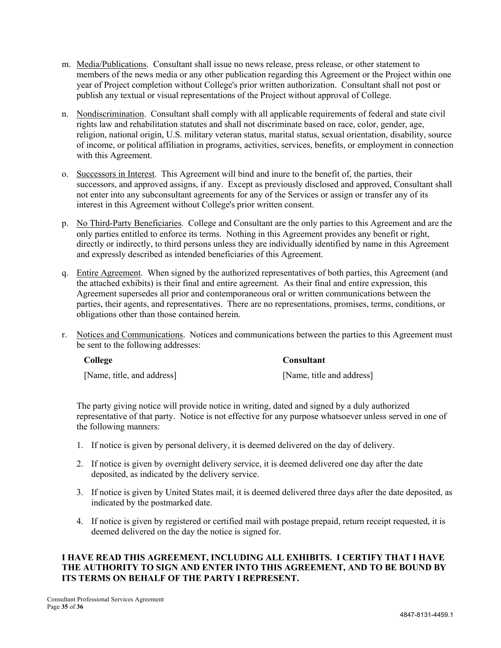- m. Media/Publications. Consultant shall issue no news release, press release, or other statement to members of the news media or any other publication regarding this Agreement or the Project within one year of Project completion without College's prior written authorization. Consultant shall not post or publish any textual or visual representations of the Project without approval of College.
- n. Nondiscrimination. Consultant shall comply with all applicable requirements of federal and state civil rights law and rehabilitation statutes and shall not discriminate based on race, color, gender, age, religion, national origin, U.S. military veteran status, marital status, sexual orientation, disability, source of income, or political affiliation in programs, activities, services, benefits, or employment in connection with this Agreement.
- o. Successors in Interest. This Agreement will bind and inure to the benefit of, the parties, their successors, and approved assigns, if any. Except as previously disclosed and approved, Consultant shall not enter into any subconsultant agreements for any of the Services or assign or transfer any of its interest in this Agreement without College's prior written consent.
- p. No Third-Party Beneficiaries. College and Consultant are the only parties to this Agreement and are the only parties entitled to enforce its terms. Nothing in this Agreement provides any benefit or right, directly or indirectly, to third persons unless they are individually identified by name in this Agreement and expressly described as intended beneficiaries of this Agreement.
- q. Entire Agreement. When signed by the authorized representatives of both parties, this Agreement (and the attached exhibits) is their final and entire agreement. As their final and entire expression, this Agreement supersedes all prior and contemporaneous oral or written communications between the parties, their agents, and representatives. There are no representations, promises, terms, conditions, or obligations other than those contained herein.
- r. Notices and Communications. Notices and communications between the parties to this Agreement must be sent to the following addresses:

#### **College Consultant**

[Name, title, and address] [Name, title and address]

The party giving notice will provide notice in writing, dated and signed by a duly authorized representative of that party. Notice is not effective for any purpose whatsoever unless served in one of the following manners:

- 1. If notice is given by personal delivery, it is deemed delivered on the day of delivery.
- 2. If notice is given by overnight delivery service, it is deemed delivered one day after the date deposited, as indicated by the delivery service.
- 3. If notice is given by United States mail, it is deemed delivered three days after the date deposited, as indicated by the postmarked date.
- 4. If notice is given by registered or certified mail with postage prepaid, return receipt requested, it is deemed delivered on the day the notice is signed for.

#### **I HAVE READ THIS AGREEMENT, INCLUDING ALL EXHIBITS. I CERTIFY THAT I HAVE THE AUTHORITY TO SIGN AND ENTER INTO THIS AGREEMENT, AND TO BE BOUND BY ITS TERMS ON BEHALF OF THE PARTY I REPRESENT.**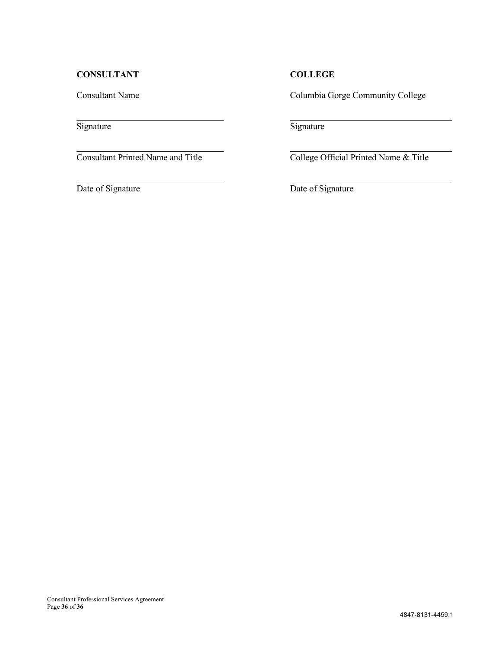# **CONSULTANT COLLEGE**

Consultant Name Columbia Gorge Community College

Signature Signature Signature

Consultant Printed Name and Title College Official Printed Name & Title

Date of Signature Date of Signature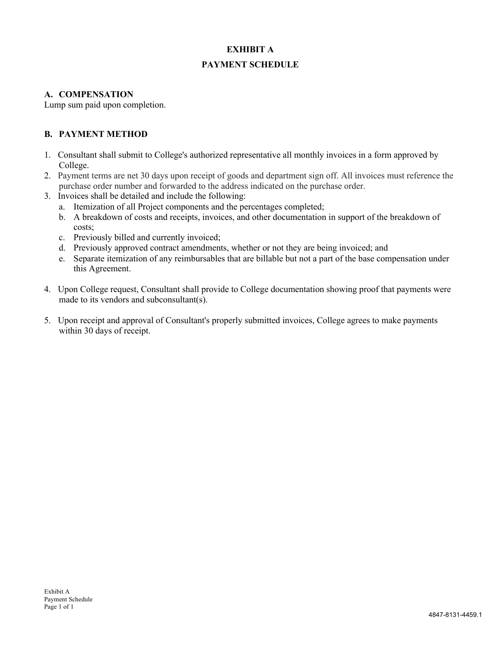# **EXHIBIT A PAYMENT SCHEDULE**

# **A. COMPENSATION**

Lump sum paid upon completion.

# **B. PAYMENT METHOD**

- 1. Consultant shall submit to College's authorized representative all monthly invoices in a form approved by College.
- 2. Payment terms are net 30 days upon receipt of goods and department sign off. All invoices must reference the purchase order number and forwarded to the address indicated on the purchase order.
- 3. Invoices shall be detailed and include the following:
	- a. Itemization of all Project components and the percentages completed;
	- b. A breakdown of costs and receipts, invoices, and other documentation in support of the breakdown of costs;
	- c. Previously billed and currently invoiced;
	- d. Previously approved contract amendments, whether or not they are being invoiced; and
	- e. Separate itemization of any reimbursables that are billable but not a part of the base compensation under this Agreement.
- 4. Upon College request, Consultant shall provide to College documentation showing proof that payments were made to its vendors and subconsultant(s).
- 5. Upon receipt and approval of Consultant's properly submitted invoices, College agrees to make payments within 30 days of receipt.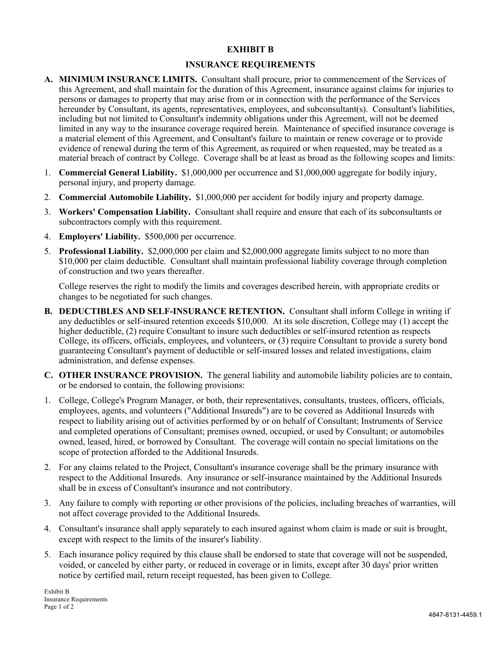# **EXHIBIT B**

# **INSURANCE REQUIREMENTS**

- **A. MINIMUM INSURANCE LIMITS.** Consultant shall procure, prior to commencement of the Services of this Agreement, and shall maintain for the duration of this Agreement, insurance against claims for injuries to persons or damages to property that may arise from or in connection with the performance of the Services hereunder by Consultant, its agents, representatives, employees, and subconsultant(s). Consultant's liabilities, including but not limited to Consultant's indemnity obligations under this Agreement, will not be deemed limited in any way to the insurance coverage required herein. Maintenance of specified insurance coverage is a material element of this Agreement, and Consultant's failure to maintain or renew coverage or to provide evidence of renewal during the term of this Agreement, as required or when requested, may be treated as a material breach of contract by College. Coverage shall be at least as broad as the following scopes and limits:
- 1. **Commercial General Liability.** \$1,000,000 per occurrence and \$1,000,000 aggregate for bodily injury, personal injury, and property damage.
- 2. **Commercial Automobile Liability.** \$1,000,000 per accident for bodily injury and property damage.
- 3. **Workers' Compensation Liability.** Consultant shall require and ensure that each of its subconsultants or subcontractors comply with this requirement.
- 4. **Employers' Liability.** \$500,000 per occurrence.
- 5. **Professional Liability.** \$2,000,000 per claim and \$2,000,000 aggregate limits subject to no more than \$10,000 per claim deductible. Consultant shall maintain professional liability coverage through completion of construction and two years thereafter.

College reserves the right to modify the limits and coverages described herein, with appropriate credits or changes to be negotiated for such changes.

- **B. DEDUCTIBLES AND SELF-INSURANCE RETENTION.** Consultant shall inform College in writing if any deductibles or self-insured retention exceeds \$10,000. At its sole discretion, College may (1) accept the higher deductible, (2) require Consultant to insure such deductibles or self-insured retention as respects College, its officers, officials, employees, and volunteers, or (3) require Consultant to provide a surety bond guaranteeing Consultant's payment of deductible or self-insured losses and related investigations, claim administration, and defense expenses.
- **C. OTHER INSURANCE PROVISION.** The general liability and automobile liability policies are to contain, or be endorsed to contain, the following provisions:
- 1. College, College's Program Manager, or both, their representatives, consultants, trustees, officers, officials, employees, agents, and volunteers ("Additional Insureds") are to be covered as Additional Insureds with respect to liability arising out of activities performed by or on behalf of Consultant; Instruments of Service and completed operations of Consultant; premises owned, occupied, or used by Consultant; or automobiles owned, leased, hired, or borrowed by Consultant. The coverage will contain no special limitations on the scope of protection afforded to the Additional Insureds.
- 2. For any claims related to the Project, Consultant's insurance coverage shall be the primary insurance with respect to the Additional Insureds. Any insurance or self-insurance maintained by the Additional Insureds shall be in excess of Consultant's insurance and not contributory.
- 3. Any failure to comply with reporting or other provisions of the policies, including breaches of warranties, will not affect coverage provided to the Additional Insureds.
- 4. Consultant's insurance shall apply separately to each insured against whom claim is made or suit is brought, except with respect to the limits of the insurer's liability.
- 5. Each insurance policy required by this clause shall be endorsed to state that coverage will not be suspended, voided, or canceled by either party, or reduced in coverage or in limits, except after 30 days' prior written notice by certified mail, return receipt requested, has been given to College.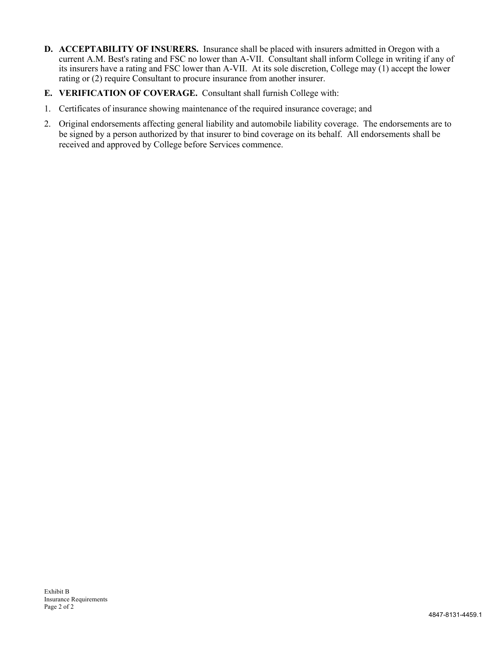- **D. ACCEPTABILITY OF INSURERS.** Insurance shall be placed with insurers admitted in Oregon with a current A.M. Best's rating and FSC no lower than A-VII. Consultant shall inform College in writing if any of its insurers have a rating and FSC lower than A-VII. At its sole discretion, College may (1) accept the lower rating or (2) require Consultant to procure insurance from another insurer.
- **E. VERIFICATION OF COVERAGE.** Consultant shall furnish College with:
- 1. Certificates of insurance showing maintenance of the required insurance coverage; and
- 2. Original endorsements affecting general liability and automobile liability coverage. The endorsements are to be signed by a person authorized by that insurer to bind coverage on its behalf. All endorsements shall be received and approved by College before Services commence.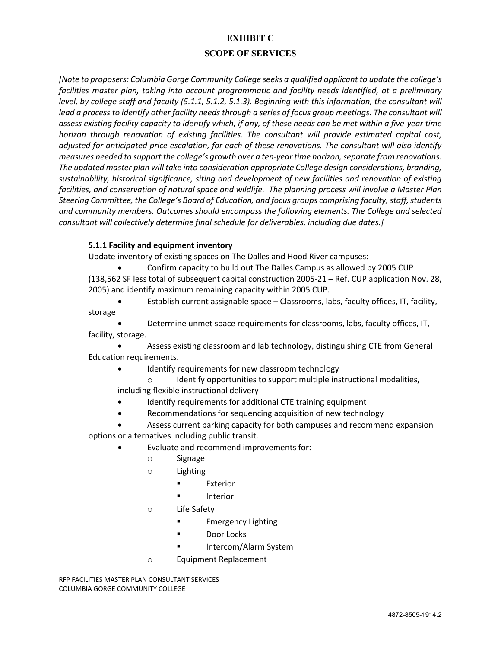# **EXHIBIT C**

#### **SCOPE OF SERVICES**

*[Note to proposers: Columbia Gorge Community College seeks a qualified applicant to update the college's facilities master plan, taking into account programmatic and facility needs identified, at a preliminary level, by college staff and faculty (5.1.1, 5.1.2, 5.1.3). Beginning with this information, the consultant will lead a process to identify other facility needs through a series of focus group meetings. The consultant will assess existing facility capacity to identify which, if any, of these needs can be met within a five-year time horizon through renovation of existing facilities. The consultant will provide estimated capital cost, adjusted for anticipated price escalation, for each of these renovations. The consultant will also identify measures needed to support the college's growth over a ten-year time horizon, separate from renovations. The updated master plan will take into consideration appropriate College design considerations, branding, sustainability, historical significance, siting and development of new facilities and renovation of existing facilities, and conservation of natural space and wildlife. The planning process will involve a Master Plan Steering Committee, the College's Board of Education, and focus groups comprising faculty, staff, students and community members. Outcomes should encompass the following elements. The College and selected consultant will collectively determine final schedule for deliverables, including due dates.]*

#### **5.1.1 Facility and equipment inventory**

Update inventory of existing spaces on The Dalles and Hood River campuses:

• Confirm capacity to build out The Dalles Campus as allowed by 2005 CUP (138,562 SF less total of subsequent capital construction 2005-21 – Ref. CUP application Nov. 28, 2005) and identify maximum remaining capacity within 2005 CUP.

• Establish current assignable space – Classrooms, labs, faculty offices, IT, facility, storage

• Determine unmet space requirements for classrooms, labs, faculty offices, IT, facility, storage.

• Assess existing classroom and lab technology, distinguishing CTE from General Education requirements.

- Identify requirements for new classroom technology
	- Identify opportunities to support multiple instructional modalities,

including flexible instructional delivery

- Identify requirements for additional CTE training equipment
- Recommendations for sequencing acquisition of new technology
- Assess current parking capacity for both campuses and recommend expansion options or alternatives including public transit.
	- Evaluate and recommend improvements for:
		- o Signage
		- o Lighting
			- Exterior
				- **Interior**
		- o Life Safety
			- § Emergency Lighting
			- Door Locks
				- § Intercom/Alarm System
		- o Equipment Replacement

RFP FACILITIES MASTER PLAN CONSULTANT SERVICES COLUMBIA GORGE COMMUNITY COLLEGE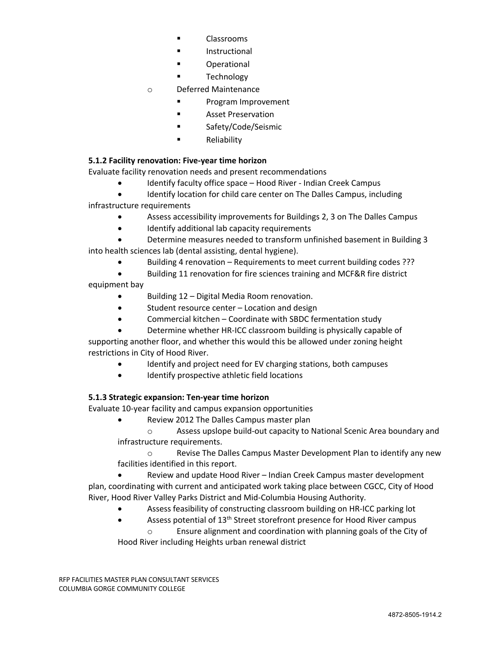- § Classrooms
	- **Instructional**
- **Operational**
- **Technology**
- o Deferred Maintenance
	- § Program Improvement
	- **E** Asset Preservation
	- § Safety/Code/Seismic
	- § Reliability

# **5.1.2 Facility renovation: Five-year time horizon**

Evaluate facility renovation needs and present recommendations

- Identify faculty office space Hood River Indian Creek Campus
- Identify location for child care center on The Dalles Campus, including infrastructure requirements
	- Assess accessibility improvements for Buildings 2, 3 on The Dalles Campus
	- Identify additional lab capacity requirements
- Determine measures needed to transform unfinished basement in Building 3 into health sciences lab (dental assisting, dental hygiene).
	- Building 4 renovation Requirements to meet current building codes ???
- Building 11 renovation for fire sciences training and MCF&R fire district equipment bay
	- Building 12 Digital Media Room renovation.
	- Student resource center Location and design
	- Commercial kitchen Coordinate with SBDC fermentation study
	- Determine whether HR-ICC classroom building is physically capable of

supporting another floor, and whether this would this be allowed under zoning height restrictions in City of Hood River.

- Identify and project need for EV charging stations, both campuses
- Identify prospective athletic field locations

# **5.1.3 Strategic expansion: Ten-year time horizon**

Evaluate 10-year facility and campus expansion opportunities

• Review 2012 The Dalles Campus master plan

o Assess upslope build-out capacity to National Scenic Area boundary and infrastructure requirements.

o Revise The Dalles Campus Master Development Plan to identify any new facilities identified in this report.

• Review and update Hood River – Indian Creek Campus master development plan, coordinating with current and anticipated work taking place between CGCC, City of Hood River, Hood River Valley Parks District and Mid-Columbia Housing Authority.

- Assess feasibility of constructing classroom building on HR-ICC parking lot
- Assess potential of 13<sup>th</sup> Street storefront presence for Hood River campus

Ensure alignment and coordination with planning goals of the City of Hood River including Heights urban renewal district

RFP FACILITIES MASTER PLAN CONSULTANT SERVICES COLUMBIA GORGE COMMUNITY COLLEGE